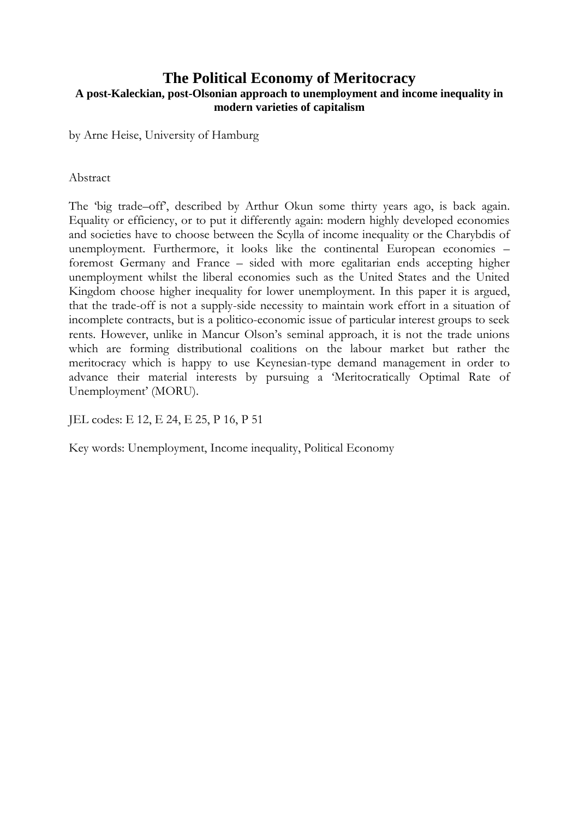#### **The Political Economy of Meritocracy A post-Kaleckian, post-Olsonian approach to unemployment and income inequality in modern varieties of capitalism**

by Arne Heise, University of Hamburg

#### Abstract

The 'big trade–off', described by Arthur Okun some thirty years ago, is back again. Equality or efficiency, or to put it differently again: modern highly developed economies and societies have to choose between the Scylla of income inequality or the Charybdis of unemployment. Furthermore, it looks like the continental European economies – foremost Germany and France – sided with more egalitarian ends accepting higher unemployment whilst the liberal economies such as the United States and the United Kingdom choose higher inequality for lower unemployment. In this paper it is argued, that the trade-off is not a supply-side necessity to maintain work effort in a situation of incomplete contracts, but is a politico-economic issue of particular interest groups to seek rents. However, unlike in Mancur Olson"s seminal approach, it is not the trade unions which are forming distributional coalitions on the labour market but rather the meritocracy which is happy to use Keynesian-type demand management in order to advance their material interests by pursuing a "Meritocratically Optimal Rate of Unemployment" (MORU).

JEL codes: E 12, E 24, E 25, P 16, P 51

Key words: Unemployment, Income inequality, Political Economy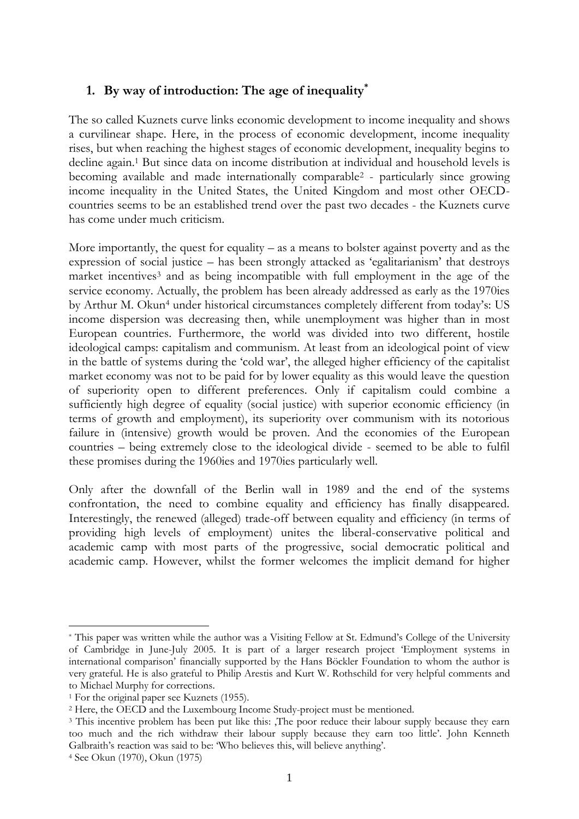### **1. By way of introduction: The age of inequality\***

The so called Kuznets curve links economic development to income inequality and shows a curvilinear shape. Here, in the process of economic development, income inequality rises, but when reaching the highest stages of economic development, inequality begins to decline again. <sup>1</sup> But since data on income distribution at individual and household levels is becoming available and made internationally comparable<sup>2</sup> - particularly since growing income inequality in the United States, the United Kingdom and most other OECDcountries seems to be an established trend over the past two decades - the Kuznets curve has come under much criticism.

More importantly, the quest for equality – as a means to bolster against poverty and as the expression of social justice – has been strongly attacked as "egalitarianism" that destroys market incentives<sup>3</sup> and as being incompatible with full employment in the age of the service economy. Actually, the problem has been already addressed as early as the 1970ies by Arthur M. Okun<sup>4</sup> under historical circumstances completely different from today's: US income dispersion was decreasing then, while unemployment was higher than in most European countries. Furthermore, the world was divided into two different, hostile ideological camps: capitalism and communism. At least from an ideological point of view in the battle of systems during the "cold war", the alleged higher efficiency of the capitalist market economy was not to be paid for by lower equality as this would leave the question of superiority open to different preferences. Only if capitalism could combine a sufficiently high degree of equality (social justice) with superior economic efficiency (in terms of growth and employment), its superiority over communism with its notorious failure in (intensive) growth would be proven. And the economies of the European countries – being extremely close to the ideological divide - seemed to be able to fulfil these promises during the 1960ies and 1970ies particularly well.

Only after the downfall of the Berlin wall in 1989 and the end of the systems confrontation, the need to combine equality and efficiency has finally disappeared. Interestingly, the renewed (alleged) trade-off between equality and efficiency (in terms of providing high levels of employment) unites the liberal-conservative political and academic camp with most parts of the progressive, social democratic political and academic camp. However, whilst the former welcomes the implicit demand for higher

<sup>\*</sup> This paper was written while the author was a Visiting Fellow at St. Edmund"s College of the University of Cambridge in June-July 2005. It is part of a larger research project "Employment systems in international comparison" financially supported by the Hans Böckler Foundation to whom the author is very grateful. He is also grateful to Philip Arestis and Kurt W. Rothschild for very helpful comments and to Michael Murphy for corrections.

<sup>1</sup> For the original paper see Kuznets (1955).

<sup>2</sup> Here, the OECD and the Luxembourg Income Study-project must be mentioned.

<sup>&</sup>lt;sup>3</sup> This incentive problem has been put like this: The poor reduce their labour supply because they earn too much and the rich withdraw their labour supply because they earn too little". John Kenneth Galbraith's reaction was said to be: 'Who believes this, will believe anything'.

<sup>4</sup> See Okun (1970), Okun (1975)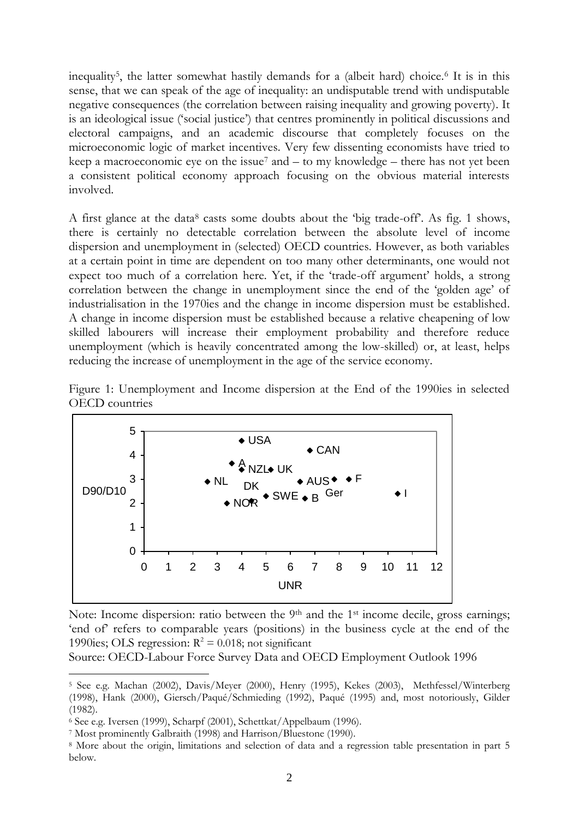inequality<sup>5</sup> , the latter somewhat hastily demands for a (albeit hard) choice.<sup>6</sup> It is in this sense, that we can speak of the age of inequality: an undisputable trend with undisputable negative consequences (the correlation between raising inequality and growing poverty). It is an ideological issue ("social justice") that centres prominently in political discussions and electoral campaigns, and an academic discourse that completely focuses on the microeconomic logic of market incentives. Very few dissenting economists have tried to keep a macroeconomic eye on the issue<sup>7</sup> and  $-$  to my knowledge  $-$  there has not yet been a consistent political economy approach focusing on the obvious material interests involved.

A first glance at the data<sup>8</sup> casts some doubts about the 'big trade-off'. As fig. 1 shows, there is certainly no detectable correlation between the absolute level of income dispersion and unemployment in (selected) OECD countries. However, as both variables at a certain point in time are dependent on too many other determinants, one would not expect too much of a correlation here. Yet, if the "trade-off argument" holds, a strong correlation between the change in unemployment since the end of the "golden age" of industrialisation in the 1970ies and the change in income dispersion must be established. A change in income dispersion must be established because a relative cheapening of low skilled labourers will increase their employment probability and therefore reduce unemployment (which is heavily concentrated among the low-skilled) or, at least, helps reducing the increase of unemployment in the age of the service economy.





Note: Income dispersion: ratio between the 9<sup>th</sup> and the 1<sup>st</sup> income decile, gross earnings; 'end of' refers to comparable years (positions) in the business cycle at the end of the 1990ies; OLS regression:  $R^2 = 0.018$ ; not significant

Source: OECD-Labour Force Survey Data and OECD Employment Outlook 1996

1

<sup>5</sup> See e.g. Machan (2002), Davis/Meyer (2000), Henry (1995), Kekes (2003), Methfessel/Winterberg (1998), Hank (2000), Giersch/Paqué/Schmieding (1992), Paqué (1995) and, most notoriously, Gilder (1982).

<sup>6</sup> See e.g. Iversen (1999), Scharpf (2001), Schettkat/Appelbaum (1996).

<sup>7</sup> Most prominently Galbraith (1998) and Harrison/Bluestone (1990).

<sup>8</sup> More about the origin, limitations and selection of data and a regression table presentation in part 5 below.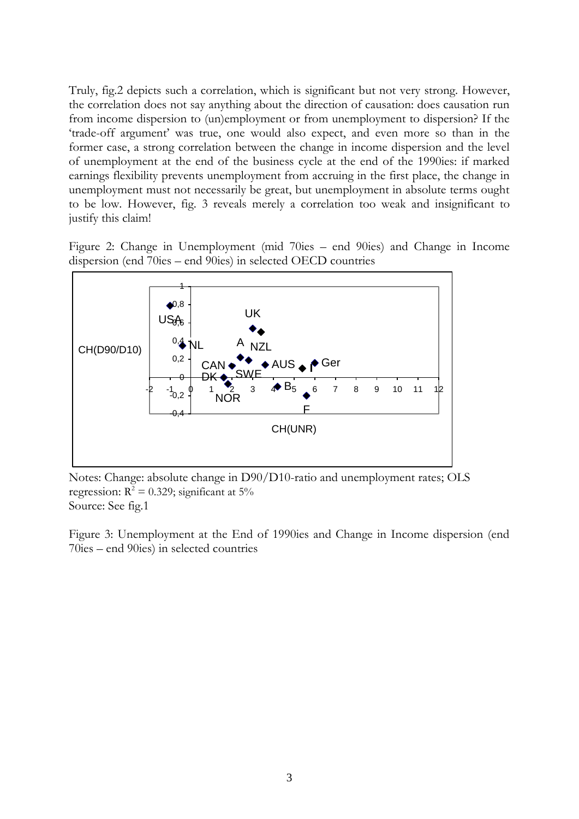Truly, fig.2 depicts such a correlation, which is significant but not very strong. However, the correlation does not say anything about the direction of causation: does causation run from income dispersion to (un)employment or from unemployment to dispersion? If the "trade-off argument" was true, one would also expect, and even more so than in the former case, a strong correlation between the change in income dispersion and the level of unemployment at the end of the business cycle at the end of the 1990ies: if marked earnings flexibility prevents unemployment from accruing in the first place, the change in unemployment must not necessarily be great, but unemployment in absolute terms ought to be low. However, fig. 3 reveals merely a correlation too weak and insignificant to justify this claim!

Figure 2: Change in Unemployment (mid 70ies – end 90ies) and Change in Income dispersion (end 70ies – end 90ies) in selected OECD countries



Notes: Change: absolute change in D90/D10-ratio and unemployment rates; OLS regression:  $R^2 = 0.329$ ; significant at 5% Source: See fig.1

Figure 3: Unemployment at the End of 1990ies and Change in Income dispersion (end 70ies – end 90ies) in selected countries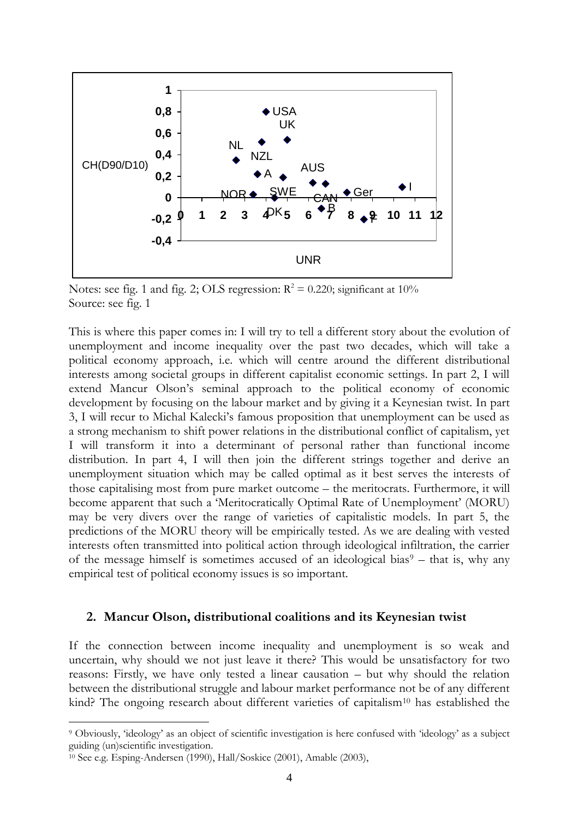

Notes: see fig. 1 and fig. 2; OLS regression:  $R^2 = 0.220$ ; significant at 10% Source: see fig. 1

This is where this paper comes in: I will try to tell a different story about the evolution of unemployment and income inequality over the past two decades, which will take a political economy approach, i.e. which will centre around the different distributional interests among societal groups in different capitalist economic settings. In part 2, I will extend Mancur Olson's seminal approach to the political economy of economic development by focusing on the labour market and by giving it a Keynesian twist. In part 3, I will recur to Michal Kalecki"s famous proposition that unemployment can be used as a strong mechanism to shift power relations in the distributional conflict of capitalism, yet I will transform it into a determinant of personal rather than functional income distribution. In part 4, I will then join the different strings together and derive an unemployment situation which may be called optimal as it best serves the interests of those capitalising most from pure market outcome – the meritocrats. Furthermore, it will become apparent that such a 'Meritocratically Optimal Rate of Unemployment' (MORU) may be very divers over the range of varieties of capitalistic models. In part 5, the predictions of the MORU theory will be empirically tested. As we are dealing with vested interests often transmitted into political action through ideological infiltration, the carrier of the message himself is sometimes accused of an ideological bias<sup>9</sup> – that is, why any empirical test of political economy issues is so important.

#### **2. Mancur Olson, distributional coalitions and its Keynesian twist**

If the connection between income inequality and unemployment is so weak and uncertain, why should we not just leave it there? This would be unsatisfactory for two reasons: Firstly, we have only tested a linear causation – but why should the relation between the distributional struggle and labour market performance not be of any different kind? The ongoing research about different varieties of capitalism<sup>10</sup> has established the

<sup>9</sup> Obviously, "ideology" as an object of scientific investigation is here confused with "ideology" as a subject guiding (un)scientific investigation.

<sup>10</sup> See e.g. Esping-Andersen (1990), Hall/Soskice (2001), Amable (2003),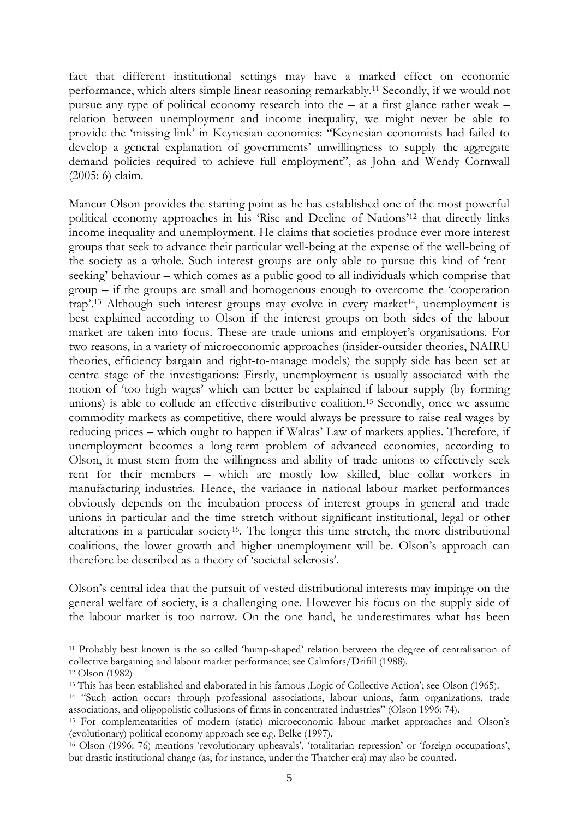fact that different institutional settings may have a marked effect on economic performance, which alters simple linear reasoning remarkably. <sup>11</sup> Secondly, if we would not pursue any type of political economy research into the – at a first glance rather weak – relation between unemployment and income inequality, we might never be able to provide the "missing link" in Keynesian economics: "Keynesian economists had failed to develop a general explanation of governments' unwillingness to supply the aggregate demand policies required to achieve full employment", as John and Wendy Cornwall (2005: 6) claim.

Mancur Olson provides the starting point as he has established one of the most powerful political economy approaches in his "Rise and Decline of Nations"<sup>12</sup> that directly links income inequality and unemployment. He claims that societies produce ever more interest groups that seek to advance their particular well-being at the expense of the well-being of the society as a whole. Such interest groups are only able to pursue this kind of "rentseeking" behaviour – which comes as a public good to all individuals which comprise that group – if the groups are small and homogenous enough to overcome the "cooperation trap'.<sup>13</sup> Although such interest groups may evolve in every market<sup>14</sup>, unemployment is best explained according to Olson if the interest groups on both sides of the labour market are taken into focus. These are trade unions and employer"s organisations. For two reasons, in a variety of microeconomic approaches (insider-outsider theories, NAIRU theories, efficiency bargain and right-to-manage models) the supply side has been set at centre stage of the investigations: Firstly, unemployment is usually associated with the notion of "too high wages" which can better be explained if labour supply (by forming unions) is able to collude an effective distributive coalition.<sup>15</sup> Secondly, once we assume commodity markets as competitive, there would always be pressure to raise real wages by reducing prices – which ought to happen if Walras" Law of markets applies. Therefore, if unemployment becomes a long-term problem of advanced economies, according to Olson, it must stem from the willingness and ability of trade unions to effectively seek rent for their members – which are mostly low skilled, blue collar workers in manufacturing industries. Hence, the variance in national labour market performances obviously depends on the incubation process of interest groups in general and trade unions in particular and the time stretch without significant institutional, legal or other alterations in a particular society<sup>16</sup>. The longer this time stretch, the more distributional coalitions, the lower growth and higher unemployment will be. Olson's approach can therefore be described as a theory of "societal sclerosis".

Olson"s central idea that the pursuit of vested distributional interests may impinge on the general welfare of society, is a challenging one. However his focus on the supply side of the labour market is too narrow. On the one hand, he underestimates what has been

<sup>11</sup> Probably best known is the so called "hump-shaped" relation between the degree of centralisation of collective bargaining and labour market performance; see Calmfors/Drifill (1988).

<sup>12</sup> Olson (1982)

<sup>&</sup>lt;sup>13</sup> This has been established and elaborated in his famous ,Logic of Collective Action'; see Olson (1965).

<sup>14</sup> "Such action occurs through professional associations, labour unions, farm organizations, trade associations, and oligopolistic collusions of firms in concentrated industries" (Olson 1996: 74).

<sup>&</sup>lt;sup>15</sup> For complementarities of modern (static) microeconomic labour market approaches and Olson's (evolutionary) political economy approach see e.g. Belke (1997).

<sup>&</sup>lt;sup>16</sup> Olson (1996: 76) mentions 'revolutionary upheavals', 'totalitarian repression' or 'foreign occupations', but drastic institutional change (as, for instance, under the Thatcher era) may also be counted.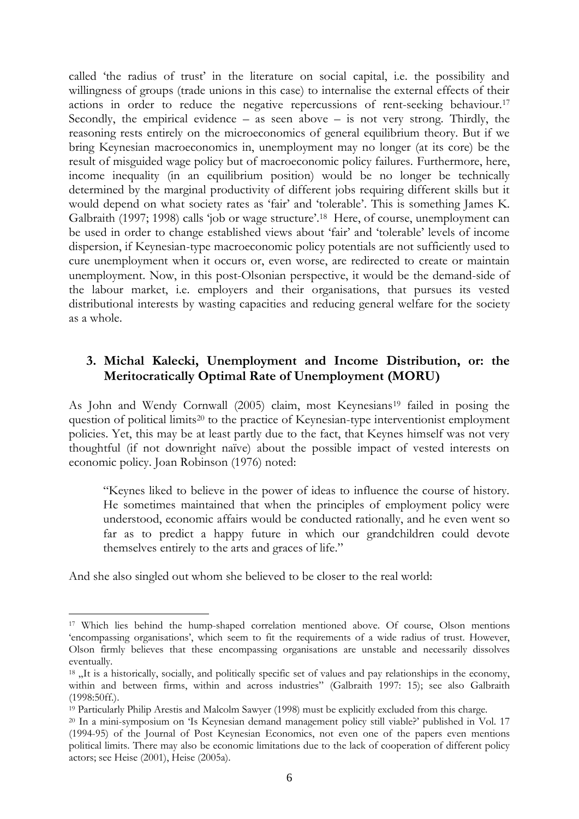called "the radius of trust" in the literature on social capital, i.e. the possibility and willingness of groups (trade unions in this case) to internalise the external effects of their actions in order to reduce the negative repercussions of rent-seeking behaviour.<sup>17</sup> Secondly, the empirical evidence  $-$  as seen above  $-$  is not very strong. Thirdly, the reasoning rests entirely on the microeconomics of general equilibrium theory. But if we bring Keynesian macroeconomics in, unemployment may no longer (at its core) be the result of misguided wage policy but of macroeconomic policy failures. Furthermore, here, income inequality (in an equilibrium position) would be no longer be technically determined by the marginal productivity of different jobs requiring different skills but it would depend on what society rates as "fair" and "tolerable". This is something James K. Galbraith (1997; 1998) calls 'job or wage structure'.<sup>18</sup> Here, of course, unemployment can be used in order to change established views about "fair" and "tolerable" levels of income dispersion, if Keynesian-type macroeconomic policy potentials are not sufficiently used to cure unemployment when it occurs or, even worse, are redirected to create or maintain unemployment. Now, in this post-Olsonian perspective, it would be the demand-side of the labour market, i.e. employers and their organisations, that pursues its vested distributional interests by wasting capacities and reducing general welfare for the society as a whole.

### **3. Michal Kalecki, Unemployment and Income Distribution, or: the Meritocratically Optimal Rate of Unemployment (MORU)**

As John and Wendy Cornwall (2005) claim, most Keynesians<sup>19</sup> failed in posing the question of political limits<sup>20</sup> to the practice of Keynesian-type interventionist employment policies. Yet, this may be at least partly due to the fact, that Keynes himself was not very thoughtful (if not downright naïve) about the possible impact of vested interests on economic policy. Joan Robinson (1976) noted:

"Keynes liked to believe in the power of ideas to influence the course of history. He sometimes maintained that when the principles of employment policy were understood, economic affairs would be conducted rationally, and he even went so far as to predict a happy future in which our grandchildren could devote themselves entirely to the arts and graces of life."

And she also singled out whom she believed to be closer to the real world:

<sup>17</sup> Which lies behind the hump-shaped correlation mentioned above. Of course, Olson mentions 'encompassing organisations', which seem to fit the requirements of a wide radius of trust. However, Olson firmly believes that these encompassing organisations are unstable and necessarily dissolves eventually.

<sup>&</sup>lt;sup>18</sup> , It is a historically, socially, and politically specific set of values and pay relationships in the economy, within and between firms, within and across industries" (Galbraith 1997: 15); see also Galbraith (1998:50ff.).

<sup>19</sup> Particularly Philip Arestis and Malcolm Sawyer (1998) must be explicitly excluded from this charge.

<sup>20</sup> In a mini-symposium on "Is Keynesian demand management policy still viable?" published in Vol. 17 (1994-95) of the Journal of Post Keynesian Economics, not even one of the papers even mentions political limits. There may also be economic limitations due to the lack of cooperation of different policy actors; see Heise (2001), Heise (2005a).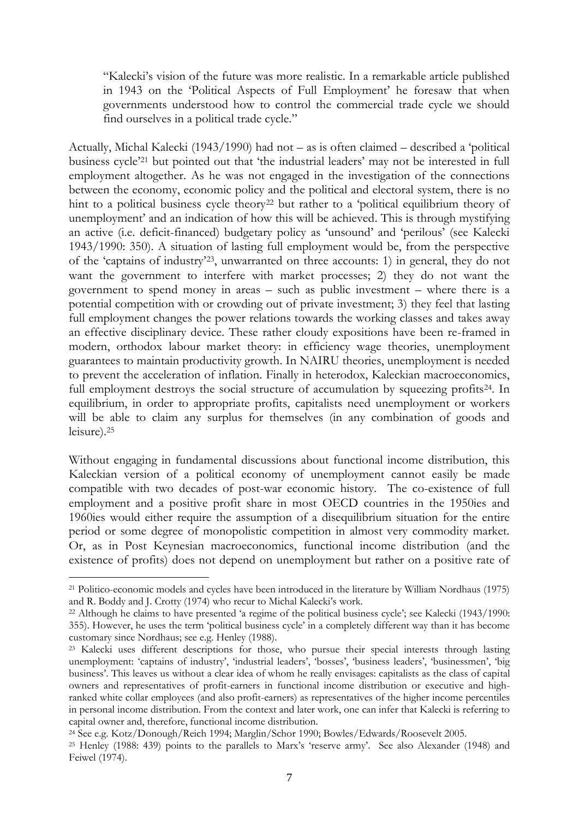"Kalecki"s vision of the future was more realistic. In a remarkable article published in 1943 on the "Political Aspects of Full Employment" he foresaw that when governments understood how to control the commercial trade cycle we should find ourselves in a political trade cycle."

Actually, Michal Kalecki (1943/1990) had not – as is often claimed – described a "political business cycle'<sup>21</sup> but pointed out that 'the industrial leaders' may not be interested in full employment altogether. As he was not engaged in the investigation of the connections between the economy, economic policy and the political and electoral system, there is no hint to a political business cycle theory<sup>22</sup> but rather to a 'political equilibrium theory of unemployment' and an indication of how this will be achieved. This is through mystifying an active (i.e. deficit-financed) budgetary policy as "unsound" and "perilous" (see Kalecki 1943/1990: 350). A situation of lasting full employment would be, from the perspective of the "captains of industry"23, unwarranted on three accounts: 1) in general, they do not want the government to interfere with market processes; 2) they do not want the government to spend money in areas – such as public investment – where there is a potential competition with or crowding out of private investment; 3) they feel that lasting full employment changes the power relations towards the working classes and takes away an effective disciplinary device. These rather cloudy expositions have been re-framed in modern, orthodox labour market theory: in efficiency wage theories, unemployment guarantees to maintain productivity growth. In NAIRU theories, unemployment is needed to prevent the acceleration of inflation. Finally in heterodox, Kaleckian macroeconomics, full employment destroys the social structure of accumulation by squeezing profits<sup>24</sup>. In equilibrium, in order to appropriate profits, capitalists need unemployment or workers will be able to claim any surplus for themselves (in any combination of goods and leisure).<sup>25</sup>

Without engaging in fundamental discussions about functional income distribution, this Kaleckian version of a political economy of unemployment cannot easily be made compatible with two decades of post-war economic history. The co-existence of full employment and a positive profit share in most OECD countries in the 1950ies and 1960ies would either require the assumption of a disequilibrium situation for the entire period or some degree of monopolistic competition in almost very commodity market. Or, as in Post Keynesian macroeconomics, functional income distribution (and the existence of profits) does not depend on unemployment but rather on a positive rate of

1

<sup>21</sup> Politico-economic models and cycles have been introduced in the literature by William Nordhaus (1975) and R. Boddy and J. Crotty (1974) who recur to Michal Kalecki"s work.

<sup>&</sup>lt;sup>22</sup> Although he claims to have presented 'a regime of the political business cycle'; see Kalecki (1943/1990: 355). However, he uses the term "political business cycle" in a completely different way than it has become customary since Nordhaus; see e.g. Henley (1988).

<sup>&</sup>lt;sup>23</sup> Kalecki uses different descriptions for those, who pursue their special interests through lasting unemployment: 'captains of industry', 'industrial leaders', 'bosses', 'business leaders', 'businessmen', 'big business'. This leaves us without a clear idea of whom he really envisages: capitalists as the class of capital owners and representatives of profit-earners in functional income distribution or executive and highranked white collar employees (and also profit-earners) as representatives of the higher income percentiles in personal income distribution. From the context and later work, one can infer that Kalecki is referring to capital owner and, therefore, functional income distribution.

<sup>24</sup> See e.g. Kotz/Donough/Reich 1994; Marglin/Schor 1990; Bowles/Edwards/Roosevelt 2005.

<sup>&</sup>lt;sup>25</sup> Henley (1988: 439) points to the parallels to Marx's 'reserve army'. See also Alexander (1948) and Feiwel (1974).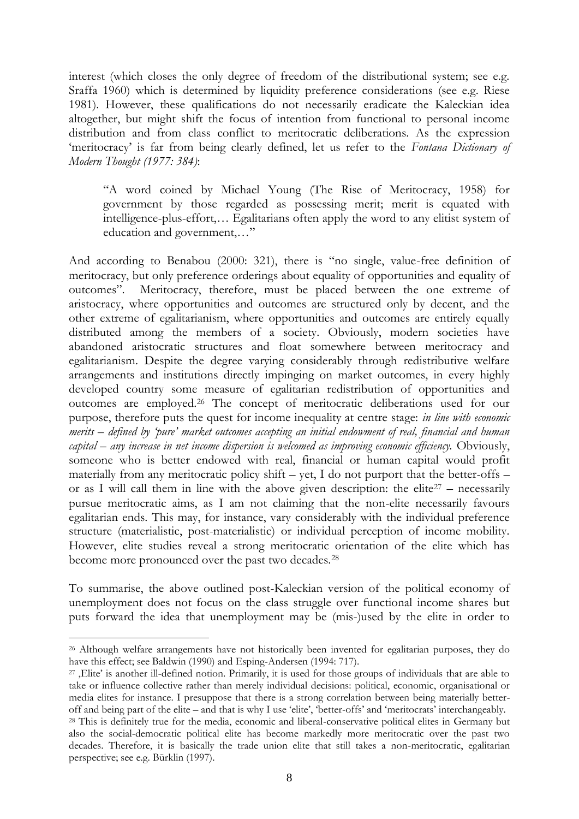interest (which closes the only degree of freedom of the distributional system; see e.g. Sraffa 1960) which is determined by liquidity preference considerations (see e.g. Riese 1981). However, these qualifications do not necessarily eradicate the Kaleckian idea altogether, but might shift the focus of intention from functional to personal income distribution and from class conflict to meritocratic deliberations. As the expression 'meritocracy' is far from being clearly defined, let us refer to the *Fontana Dictionary of Modern Thought (1977: 384)*:

"A word coined by Michael Young (The Rise of Meritocracy, 1958) for government by those regarded as possessing merit; merit is equated with intelligence-plus-effort,… Egalitarians often apply the word to any elitist system of education and government,…"

And according to Benabou (2000: 321), there is "no single, value-free definition of meritocracy, but only preference orderings about equality of opportunities and equality of outcomes". Meritocracy, therefore, must be placed between the one extreme of aristocracy, where opportunities and outcomes are structured only by decent, and the other extreme of egalitarianism, where opportunities and outcomes are entirely equally distributed among the members of a society. Obviously, modern societies have abandoned aristocratic structures and float somewhere between meritocracy and egalitarianism. Despite the degree varying considerably through redistributive welfare arrangements and institutions directly impinging on market outcomes, in every highly developed country some measure of egalitarian redistribution of opportunities and outcomes are employed.<sup>26</sup> The concept of meritocratic deliberations used for our purpose, therefore puts the quest for income inequality at centre stage: *in line with economic merits – defined by 'pure' market outcomes accepting an initial endowment of real, financial and human capital – any increase in net income dispersion is welcomed as improving economic efficiency.* Obviously, someone who is better endowed with real, financial or human capital would profit materially from any meritocratic policy shift – yet, I do not purport that the better-offs – or as I will call them in line with the above given description: the elite<sup>27</sup> – necessarily pursue meritocratic aims, as I am not claiming that the non-elite necessarily favours egalitarian ends. This may, for instance, vary considerably with the individual preference structure (materialistic, post-materialistic) or individual perception of income mobility. However, elite studies reveal a strong meritocratic orientation of the elite which has become more pronounced over the past two decades.<sup>28</sup>

To summarise, the above outlined post-Kaleckian version of the political economy of unemployment does not focus on the class struggle over functional income shares but puts forward the idea that unemployment may be (mis-)used by the elite in order to

<sup>26</sup> Although welfare arrangements have not historically been invented for egalitarian purposes, they do have this effect; see Baldwin (1990) and Esping-Andersen (1994: 717).

<sup>&</sup>lt;sup>27</sup>, Elite' is another ill-defined notion. Primarily, it is used for those groups of individuals that are able to take or influence collective rather than merely individual decisions: political, economic, organisational or media elites for instance. I presuppose that there is a strong correlation between being materially betteroff and being part of the elite – and that is why I use 'elite', 'better-offs' and 'meritocrats' interchangeably.

<sup>&</sup>lt;sup>28</sup> This is definitely true for the media, economic and liberal-conservative political elites in Germany but also the social-democratic political elite has become markedly more meritocratic over the past two decades. Therefore, it is basically the trade union elite that still takes a non-meritocratic, egalitarian perspective; see e.g. Bürklin (1997).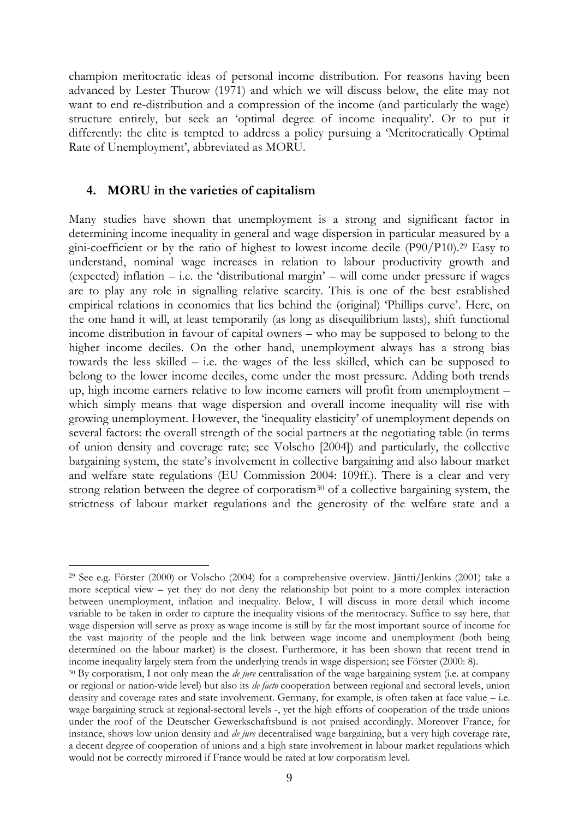champion meritocratic ideas of personal income distribution. For reasons having been advanced by Lester Thurow (1971) and which we will discuss below, the elite may not want to end re-distribution and a compression of the income (and particularly the wage) structure entirely, but seek an 'optimal degree of income inequality'. Or to put it differently: the elite is tempted to address a policy pursuing a "Meritocratically Optimal Rate of Unemployment', abbreviated as MORU.

#### **4. MORU in the varieties of capitalism**

1

Many studies have shown that unemployment is a strong and significant factor in determining income inequality in general and wage dispersion in particular measured by a gini-coefficient or by the ratio of highest to lowest income decile (P90/P10).<sup>29</sup> Easy to understand, nominal wage increases in relation to labour productivity growth and (expected) inflation  $-$  i.e. the 'distributional margin'  $-$  will come under pressure if wages are to play any role in signalling relative scarcity. This is one of the best established empirical relations in economics that lies behind the (original) 'Phillips curve'. Here, on the one hand it will, at least temporarily (as long as disequilibrium lasts), shift functional income distribution in favour of capital owners – who may be supposed to belong to the higher income deciles. On the other hand, unemployment always has a strong bias towards the less skilled – i.e. the wages of the less skilled, which can be supposed to belong to the lower income deciles, come under the most pressure. Adding both trends up, high income earners relative to low income earners will profit from unemployment – which simply means that wage dispersion and overall income inequality will rise with growing unemployment. However, the "inequality elasticity" of unemployment depends on several factors: the overall strength of the social partners at the negotiating table (in terms of union density and coverage rate; see Volscho [2004]) and particularly, the collective bargaining system, the state"s involvement in collective bargaining and also labour market and welfare state regulations (EU Commission 2004: 109ff.). There is a clear and very strong relation between the degree of corporatism<sup>30</sup> of a collective bargaining system, the strictness of labour market regulations and the generosity of the welfare state and a

<sup>29</sup> See e.g. Förster (2000) or Volscho (2004) for a comprehensive overview. Jäntti/Jenkins (2001) take a more sceptical view – yet they do not deny the relationship but point to a more complex interaction between unemployment, inflation and inequality. Below, I will discuss in more detail which income variable to be taken in order to capture the inequality visions of the meritocracy. Suffice to say here, that wage dispersion will serve as proxy as wage income is still by far the most important source of income for the vast majority of the people and the link between wage income and unemployment (both being determined on the labour market) is the closest. Furthermore, it has been shown that recent trend in income inequality largely stem from the underlying trends in wage dispersion; see Förster (2000: 8).

<sup>30</sup> By corporatism, I not only mean the *de jure* centralisation of the wage bargaining system (i.e. at company or regional or nation-wide level) but also its *de facto* cooperation between regional and sectoral levels, union density and coverage rates and state involvement. Germany, for example, is often taken at face value – i.e. wage bargaining struck at regional-sectoral levels -, yet the high efforts of cooperation of the trade unions under the roof of the Deutscher Gewerkschaftsbund is not praised accordingly. Moreover France, for instance, shows low union density and *de jure* decentralised wage bargaining, but a very high coverage rate, a decent degree of cooperation of unions and a high state involvement in labour market regulations which would not be correctly mirrored if France would be rated at low corporatism level.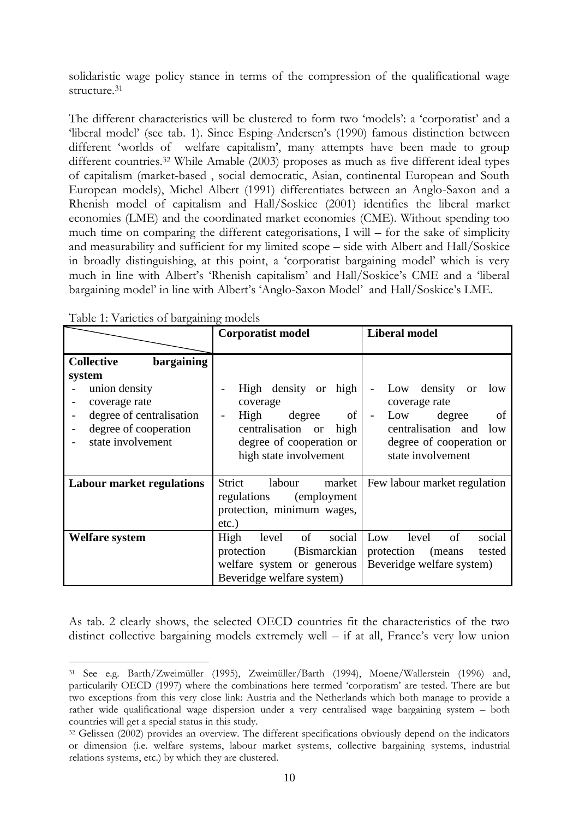solidaristic wage policy stance in terms of the compression of the qualificational wage structure.<sup>31</sup>

The different characteristics will be clustered to form two 'models': a 'corporatist' and a "liberal model" (see tab. 1). Since Esping-Andersen"s (1990) famous distinction between different 'worlds of welfare capitalism', many attempts have been made to group different countries.<sup>32</sup> While Amable (2003) proposes as much as five different ideal types of capitalism (market-based , social democratic, Asian, continental European and South European models), Michel Albert (1991) differentiates between an Anglo-Saxon and a Rhenish model of capitalism and Hall/Soskice (2001) identifies the liberal market economies (LME) and the coordinated market economies (CME). Without spending too much time on comparing the different categorisations, I will – for the sake of simplicity and measurability and sufficient for my limited scope – side with Albert and Hall/Soskice in broadly distinguishing, at this point, a "corporatist bargaining model" which is very much in line with Albert"s "Rhenish capitalism" and Hall/Soskice"s CME and a "liberal bargaining model' in line with Albert's 'Anglo-Saxon Model' and Hall/Soskice's LME.

| Table 1. Valieties of Dargaming models |                                        |                                                         |  |
|----------------------------------------|----------------------------------------|---------------------------------------------------------|--|
|                                        | <b>Corporatist model</b>               | <b>Liberal model</b>                                    |  |
|                                        |                                        |                                                         |  |
| bargaining<br><b>Collective</b>        |                                        |                                                         |  |
| system                                 |                                        |                                                         |  |
| union density<br>coverage rate         | High density or high<br>coverage       | density<br>Low<br>low<br><sub>or</sub><br>coverage rate |  |
| degree of centralisation               | of<br>High<br>degree<br>$\blacksquare$ | degree<br>of<br>Low<br>$\blacksquare$                   |  |
| degree of cooperation                  | centralisation or high                 | centralisation and<br>1 <sub>ow</sub>                   |  |
| state involvement                      | degree of cooperation or               | degree of cooperation or                                |  |
|                                        | high state involvement                 | state involvement                                       |  |
| <b>Labour market regulations</b>       | Strict<br>labour<br>market             | Few labour market regulation                            |  |
|                                        | (employment)<br>regulations            |                                                         |  |
|                                        | protection, minimum wages,             |                                                         |  |
|                                        | $etc.$ )                               |                                                         |  |
| <b>Welfare</b> system                  | social<br>of<br>High<br>level          | of<br>social<br>Low<br>level                            |  |
|                                        | (Bismarckian<br>protection             | protection<br>tested<br>(means)                         |  |
|                                        | welfare system or generous             | Beveridge welfare system)                               |  |
|                                        | Beveridge welfare system)              |                                                         |  |

Table 1: Varieties of bargaining models

<u>.</u>

As tab. 2 clearly shows, the selected OECD countries fit the characteristics of the two distinct collective bargaining models extremely well – if at all, France"s very low union

<sup>31</sup> See e.g. Barth/Zweimüller (1995), Zweimüller/Barth (1994), Moene/Wallerstein (1996) and, particularily OECD (1997) where the combinations here termed "corporatism" are tested. There are but two exceptions from this very close link: Austria and the Netherlands which both manage to provide a rather wide qualificational wage dispersion under a very centralised wage bargaining system – both countries will get a special status in this study.

<sup>32</sup> Gelissen (2002) provides an overview. The different specifications obviously depend on the indicators or dimension (i.e. welfare systems, labour market systems, collective bargaining systems, industrial relations systems, etc.) by which they are clustered.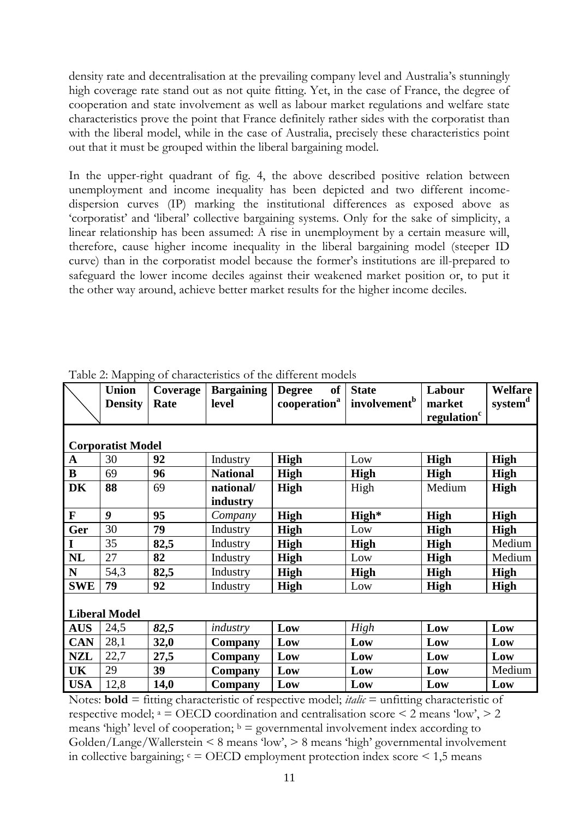density rate and decentralisation at the prevailing company level and Australia's stunningly high coverage rate stand out as not quite fitting. Yet, in the case of France, the degree of cooperation and state involvement as well as labour market regulations and welfare state characteristics prove the point that France definitely rather sides with the corporatist than with the liberal model, while in the case of Australia, precisely these characteristics point out that it must be grouped within the liberal bargaining model.

In the upper-right quadrant of fig. 4, the above described positive relation between unemployment and income inequality has been depicted and two different incomedispersion curves (IP) marking the institutional differences as exposed above as "corporatist" and "liberal" collective bargaining systems. Only for the sake of simplicity, a linear relationship has been assumed: A rise in unemployment by a certain measure will, therefore, cause higher income inequality in the liberal bargaining model (steeper ID curve) than in the corporatist model because the former"s institutions are ill-prepared to safeguard the lower income deciles against their weakened market position or, to put it the other way around, achieve better market results for the higher income deciles.

|             | <b>Union</b>             | Coverage | <b>Bargaining</b> | <b>of</b><br><b>Degree</b> | <b>State</b>             | Labour                  | <b>Welfare</b>      |
|-------------|--------------------------|----------|-------------------|----------------------------|--------------------------|-------------------------|---------------------|
|             | <b>Density</b>           | Rate     | level             | cooperation <sup>a</sup>   | involvement <sup>b</sup> | market                  | system <sup>d</sup> |
|             |                          |          |                   |                            |                          | regulation <sup>c</sup> |                     |
|             |                          |          |                   |                            |                          |                         |                     |
|             | <b>Corporatist Model</b> |          |                   |                            |                          |                         |                     |
| $\mathbf A$ | 30                       | 92       | Industry          | <b>High</b>                | Low                      | High                    | <b>High</b>         |
| $\bf{B}$    | 69                       | 96       | <b>National</b>   | <b>High</b>                | High                     | <b>High</b>             | High                |
| <b>DK</b>   | 88                       | 69       | national/         | <b>High</b>                | High                     | Medium                  | <b>High</b>         |
|             |                          |          | industry          |                            |                          |                         |                     |
| $\mathbf F$ | 9                        | 95       | Company           | <b>High</b>                | High*                    | <b>High</b>             | <b>High</b>         |
| Ger         | 30                       | 79       | Industry          | <b>High</b>                | Low                      | <b>High</b>             | <b>High</b>         |
| I           | 35                       | 82,5     | Industry          | High                       | <b>High</b>              | <b>High</b>             | Medium              |
| <b>NL</b>   | 27                       | 82       | Industry          | <b>High</b>                | Low                      | <b>High</b>             | Medium              |
| N           | 54,3                     | 82,5     | Industry          | High                       | <b>High</b>              | <b>High</b>             | <b>High</b>         |
| <b>SWE</b>  | 79                       | 92       | Industry          | <b>High</b>                | Low                      | <b>High</b>             | <b>High</b>         |
|             |                          |          |                   |                            |                          |                         |                     |
|             | <b>Liberal Model</b>     |          |                   |                            |                          |                         |                     |
| <b>AUS</b>  | 24,5                     | 82,5     | industry          | Low                        | High                     | Low                     | Low                 |
| <b>CAN</b>  | 28,1                     | 32,0     | Company           | Low                        | Low                      | Low                     | Low                 |
| <b>NZL</b>  | 22,7                     | 27,5     | Company           | Low                        | Low                      | Low                     | Low                 |
| UK          | 29                       | 39       | Company           | Low                        | Low                      | Low                     | Medium              |
| <b>USA</b>  | 12,8                     | 14,0     | Company           | Low                        | Low                      | Low                     | Low                 |

Table 2: Mapping of characteristics of the different models

Notes: **bold** = fitting characteristic of respective model; *italic* = unfitting characteristic of respective model;  $a =$  OECD coordination and centralisation score  $\leq$  2 means 'low',  $>$  2 means 'high' level of cooperation;  $\mathbf{b} =$  governmental involvement index according to Golden/Lange/Wallerstein < 8 means "low", > 8 means "high" governmental involvement in collective bargaining;  $c =$  OECD employment protection index score  $\leq$  1,5 means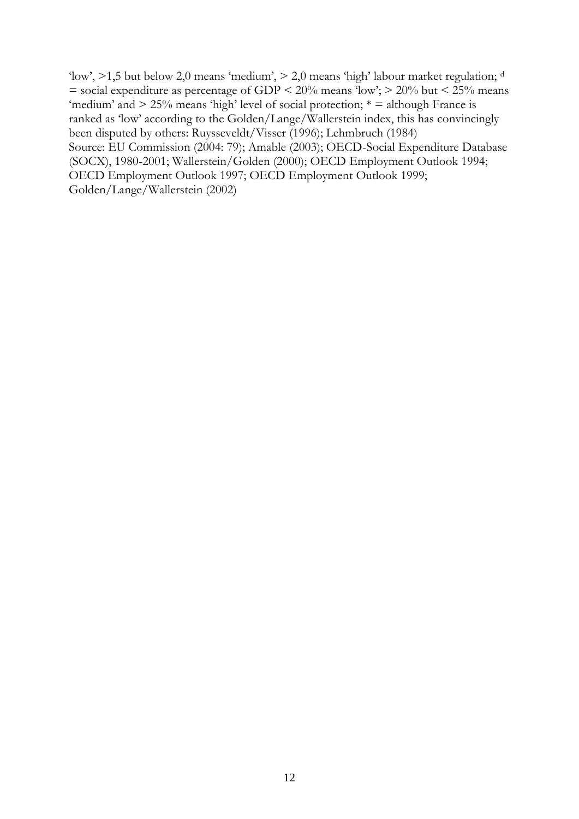'low',  $>1,5$  but below 2,0 means 'medium',  $> 2,0$  means 'high' labour market regulation; d  $=$  social expenditure as percentage of GDP  $\leq$  20% means 'low';  $>$  20% but  $\leq$  25% means 'medium' and  $> 25\%$  means 'high' level of social protection;  $* =$  although France is ranked as "low" according to the Golden/Lange/Wallerstein index, this has convincingly been disputed by others: Ruysseveldt/Visser (1996); Lehmbruch (1984) Source: EU Commission (2004: 79); Amable (2003); OECD-Social Expenditure Database (SOCX), 1980-2001; Wallerstein/Golden (2000); OECD Employment Outlook 1994; OECD Employment Outlook 1997; OECD Employment Outlook 1999; Golden/Lange/Wallerstein (2002)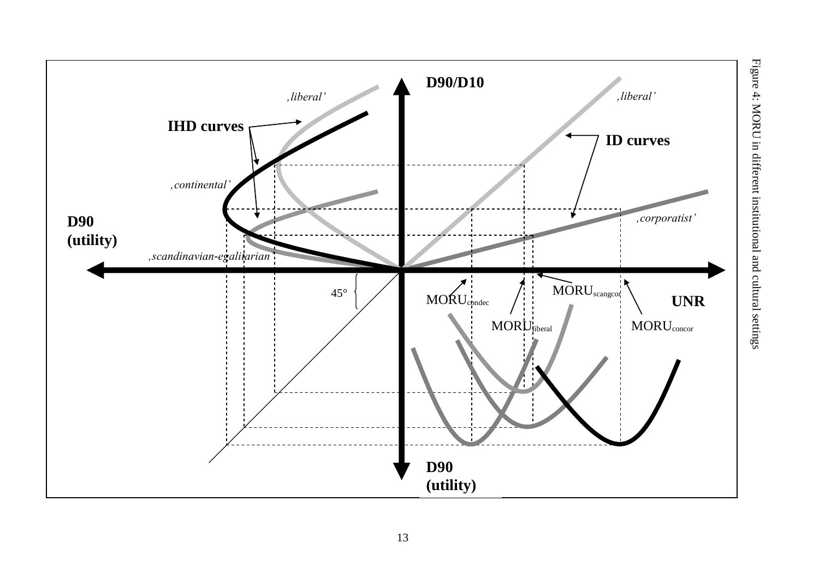

Figure 4: MORU in different institutional and cultural settings Figure 4: MORU in different institutional and cultural settings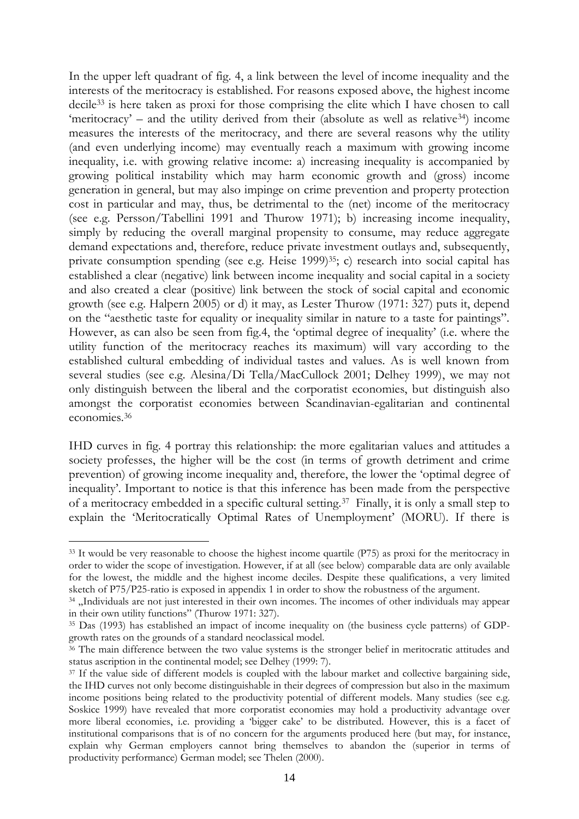In the upper left quadrant of fig. 4, a link between the level of income inequality and the interests of the meritocracy is established. For reasons exposed above, the highest income decile<sup>33</sup> is here taken as proxi for those comprising the elite which I have chosen to call 'meritocracy' – and the utility derived from their (absolute as well as relative<sup>34</sup>) income measures the interests of the meritocracy, and there are several reasons why the utility (and even underlying income) may eventually reach a maximum with growing income inequality, i.e. with growing relative income: a) increasing inequality is accompanied by growing political instability which may harm economic growth and (gross) income generation in general, but may also impinge on crime prevention and property protection cost in particular and may, thus, be detrimental to the (net) income of the meritocracy (see e.g. Persson/Tabellini 1991 and Thurow 1971); b) increasing income inequality, simply by reducing the overall marginal propensity to consume, may reduce aggregate demand expectations and, therefore, reduce private investment outlays and, subsequently, private consumption spending (see e.g. Heise 1999)<sup>35</sup>; c) research into social capital has established a clear (negative) link between income inequality and social capital in a society and also created a clear (positive) link between the stock of social capital and economic growth (see e.g. Halpern 2005) or d) it may, as Lester Thurow (1971: 327) puts it, depend on the "aesthetic taste for equality or inequality similar in nature to a taste for paintings". However, as can also be seen from fig.4, the "optimal degree of inequality" (i.e. where the utility function of the meritocracy reaches its maximum) will vary according to the established cultural embedding of individual tastes and values. As is well known from several studies (see e.g. Alesina/Di Tella/MacCullock 2001; Delhey 1999), we may not only distinguish between the liberal and the corporatist economies, but distinguish also amongst the corporatist economies between Scandinavian-egalitarian and continental economies.<sup>36</sup>

IHD curves in fig. 4 portray this relationship: the more egalitarian values and attitudes a society professes, the higher will be the cost (in terms of growth detriment and crime prevention) of growing income inequality and, therefore, the lower the "optimal degree of inequality'. Important to notice is that this inference has been made from the perspective of a meritocracy embedded in a specific cultural setting.<sup>37</sup> Finally, it is only a small step to explain the "Meritocratically Optimal Rates of Unemployment" (MORU). If there is

1

<sup>&</sup>lt;sup>33</sup> It would be very reasonable to choose the highest income quartile (P75) as proxi for the meritocracy in order to wider the scope of investigation. However, if at all (see below) comparable data are only available for the lowest, the middle and the highest income deciles. Despite these qualifications, a very limited sketch of P75/P25-ratio is exposed in appendix 1 in order to show the robustness of the argument.

<sup>&</sup>lt;sup>34</sup> "Individuals are not just interested in their own incomes. The incomes of other individuals may appear in their own utility functions" (Thurow 1971: 327).

<sup>35</sup> Das (1993) has established an impact of income inequality on (the business cycle patterns) of GDPgrowth rates on the grounds of a standard neoclassical model.

<sup>&</sup>lt;sup>36</sup> The main difference between the two value systems is the stronger belief in meritocratic attitudes and status ascription in the continental model; see Delhey (1999: 7).

<sup>&</sup>lt;sup>37</sup> If the value side of different models is coupled with the labour market and collective bargaining side, the IHD curves not only become distinguishable in their degrees of compression but also in the maximum income positions being related to the productivity potential of different models. Many studies (see e.g. Soskice 1999) have revealed that more corporatist economies may hold a productivity advantage over more liberal economies, i.e. providing a "bigger cake" to be distributed. However, this is a facet of institutional comparisons that is of no concern for the arguments produced here (but may, for instance, explain why German employers cannot bring themselves to abandon the (superior in terms of productivity performance) German model; see Thelen (2000).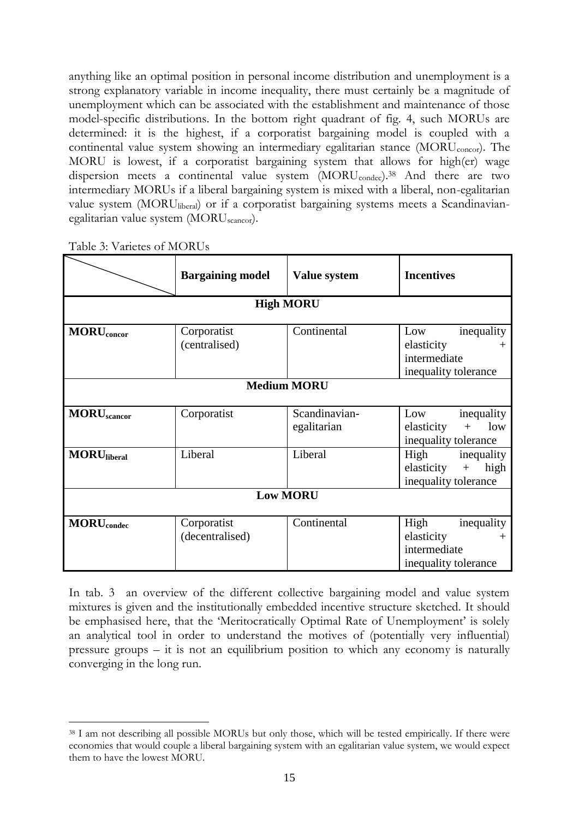anything like an optimal position in personal income distribution and unemployment is a strong explanatory variable in income inequality, there must certainly be a magnitude of unemployment which can be associated with the establishment and maintenance of those model-specific distributions. In the bottom right quadrant of fig. 4, such MORUs are determined: it is the highest, if a corporatist bargaining model is coupled with a continental value system showing an intermediary egalitarian stance  $(MORU_{concor})$ . The MORU is lowest, if a corporatist bargaining system that allows for high(er) wage dispersion meets a continental value system (MORU<sub>condec</sub>).<sup>38</sup> And there are two intermediary MORUs if a liberal bargaining system is mixed with a liberal, non-egalitarian value system (MORUliberal) or if a corporatist bargaining systems meets a Scandinavianegalitarian value system (MORUscancor).

|                                | <b>Bargaining model</b>        | Value system                 | <b>Incentives</b>                                                                    |  |
|--------------------------------|--------------------------------|------------------------------|--------------------------------------------------------------------------------------|--|
|                                |                                | <b>High MORU</b>             |                                                                                      |  |
| <b>MORU</b> <sub>concor</sub>  | Corporatist<br>(centralised)   | Continental                  | Low<br>inequality<br>elasticity<br>intermediate<br>inequality tolerance              |  |
| <b>Medium MORU</b>             |                                |                              |                                                                                      |  |
| <b>MORU</b> <sub>scancor</sub> | Corporatist                    | Scandinavian-<br>egalitarian | Low<br>inequality<br>low<br>elasticity<br>$+$<br>inequality tolerance                |  |
| <b>MORU</b> liberal            | Liberal                        | Liberal                      | High<br>inequality<br>high<br>elasticity<br>$\boldsymbol{+}$<br>inequality tolerance |  |
| <b>Low MORU</b>                |                                |                              |                                                                                      |  |
| <b>MORU</b> <sub>condec</sub>  | Corporatist<br>(decentralised) | Continental                  | High<br>inequality<br>elasticity<br>intermediate<br>inequality tolerance             |  |

Table 3: Varietes of MORUs

<u>.</u>

In tab. 3 an overview of the different collective bargaining model and value system mixtures is given and the institutionally embedded incentive structure sketched. It should be emphasised here, that the 'Meritocratically Optimal Rate of Unemployment' is solely an analytical tool in order to understand the motives of (potentially very influential) pressure groups – it is not an equilibrium position to which any economy is naturally converging in the long run.

<sup>38</sup> I am not describing all possible MORUs but only those, which will be tested empirically. If there were economies that would couple a liberal bargaining system with an egalitarian value system, we would expect them to have the lowest MORU.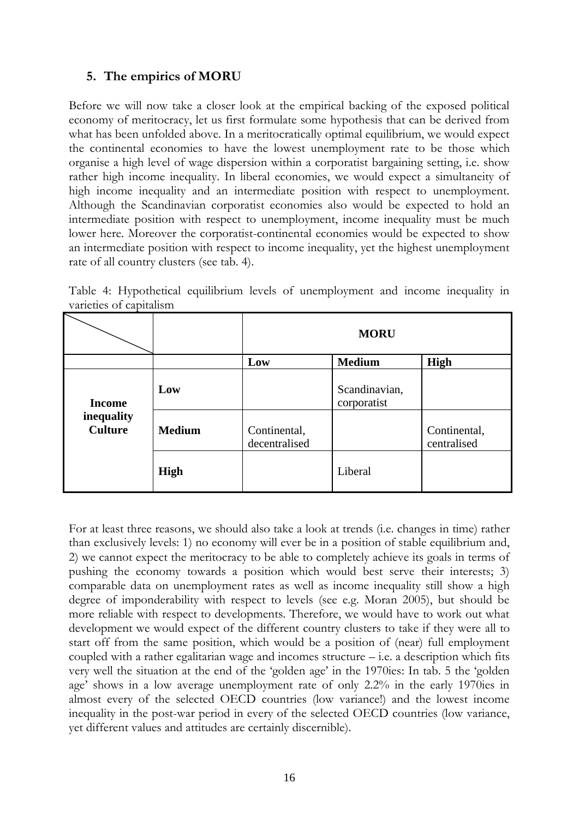### **5. The empirics of MORU**

Before we will now take a closer look at the empirical backing of the exposed political economy of meritocracy, let us first formulate some hypothesis that can be derived from what has been unfolded above. In a meritocratically optimal equilibrium, we would expect the continental economies to have the lowest unemployment rate to be those which organise a high level of wage dispersion within a corporatist bargaining setting, i.e. show rather high income inequality. In liberal economies, we would expect a simultaneity of high income inequality and an intermediate position with respect to unemployment. Although the Scandinavian corporatist economies also would be expected to hold an intermediate position with respect to unemployment, income inequality must be much lower here. Moreover the corporatist-continental economies would be expected to show an intermediate position with respect to income inequality, yet the highest unemployment rate of all country clusters (see tab. 4).

|                         |  | Table 4: Hypothetical equilibrium levels of unemployment and income inequality in |  |  |
|-------------------------|--|-----------------------------------------------------------------------------------|--|--|
| varieties of capitalism |  |                                                                                   |  |  |

|                              |               |                               | <b>MORU</b>                  |                             |
|------------------------------|---------------|-------------------------------|------------------------------|-----------------------------|
|                              |               | Low                           | <b>Medium</b>                | High                        |
| <b>Income</b>                | Low           |                               | Scandinavian,<br>corporatist |                             |
| inequality<br><b>Culture</b> | <b>Medium</b> | Continental,<br>decentralised |                              | Continental,<br>centralised |
|                              | <b>High</b>   |                               | Liberal                      |                             |

For at least three reasons, we should also take a look at trends (i.e. changes in time) rather than exclusively levels: 1) no economy will ever be in a position of stable equilibrium and, 2) we cannot expect the meritocracy to be able to completely achieve its goals in terms of pushing the economy towards a position which would best serve their interests; 3) comparable data on unemployment rates as well as income inequality still show a high degree of imponderability with respect to levels (see e.g. Moran 2005), but should be more reliable with respect to developments. Therefore, we would have to work out what development we would expect of the different country clusters to take if they were all to start off from the same position, which would be a position of (near) full employment coupled with a rather egalitarian wage and incomes structure  $-$  i.e. a description which fits very well the situation at the end of the "golden age" in the 1970ies: In tab. 5 the "golden age" shows in a low average unemployment rate of only 2.2% in the early 1970ies in almost every of the selected OECD countries (low variance!) and the lowest income inequality in the post-war period in every of the selected OECD countries (low variance, yet different values and attitudes are certainly discernible).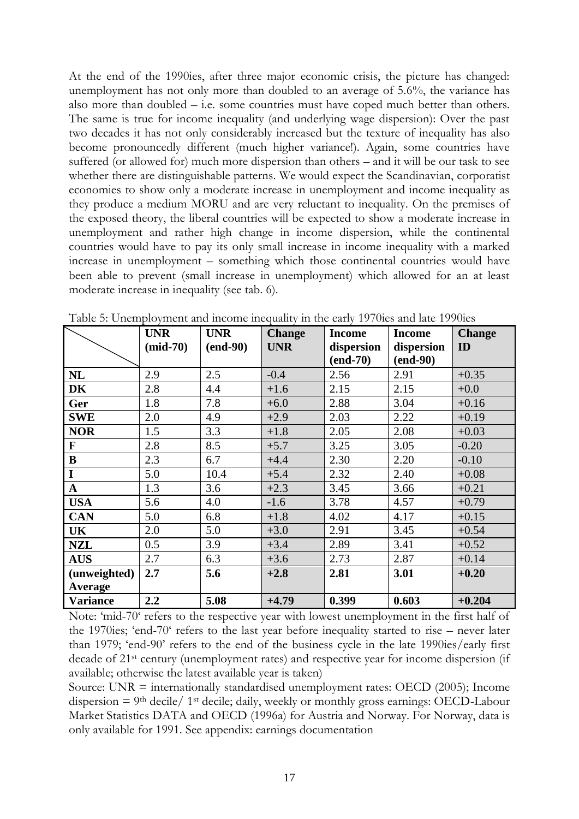At the end of the 1990ies, after three major economic crisis, the picture has changed: unemployment has not only more than doubled to an average of 5.6%, the variance has also more than doubled – i.e. some countries must have coped much better than others. The same is true for income inequality (and underlying wage dispersion): Over the past two decades it has not only considerably increased but the texture of inequality has also become pronouncedly different (much higher variance!). Again, some countries have suffered (or allowed for) much more dispersion than others – and it will be our task to see whether there are distinguishable patterns. We would expect the Scandinavian, corporatist economies to show only a moderate increase in unemployment and income inequality as they produce a medium MORU and are very reluctant to inequality. On the premises of the exposed theory, the liberal countries will be expected to show a moderate increase in unemployment and rather high change in income dispersion, while the continental countries would have to pay its only small increase in income inequality with a marked increase in unemployment – something which those continental countries would have been able to prevent (small increase in unemployment) which allowed for an at least moderate increase in inequality (see tab. 6).

|                 | <b>UNR</b> | <b>UNR</b> | <b>Change</b> | <b>Income</b> | <b>Income</b> | <b>Change</b> |
|-----------------|------------|------------|---------------|---------------|---------------|---------------|
|                 | $(mid-70)$ | $(end-90)$ | <b>UNR</b>    | dispersion    | dispersion    | ID            |
|                 |            |            |               | $(end-70)$    | $(end-90)$    |               |
| NL              | 2.9        | 2.5        | $-0.4$        | 2.56          | 2.91          | $+0.35$       |
| <b>DK</b>       | 2.8        | 4.4        | $+1.6$        | 2.15          | 2.15          | $+0.0$        |
| Ger             | 1.8        | 7.8        | $+6.0$        | 2.88          | 3.04          | $+0.16$       |
| <b>SWE</b>      | 2.0        | 4.9        | $+2.9$        | 2.03          | 2.22          | $+0.19$       |
| <b>NOR</b>      | 1.5        | 3.3        | $+1.8$        | 2.05          | 2.08          | $+0.03$       |
| F               | 2.8        | 8.5        | $+5.7$        | 3.25          | 3.05          | $-0.20$       |
| $\bf{B}$        | 2.3        | 6.7        | $+4.4$        | 2.30          | 2.20          | $-0.10$       |
| I               | 5.0        | 10.4       | $+5.4$        | 2.32          | 2.40          | $+0.08$       |
| ${\bf A}$       | 1.3        | 3.6        | $+2.3$        | 3.45          | 3.66          | $+0.21$       |
| <b>USA</b>      | 5.6        | 4.0        | $-1.6$        | 3.78          | 4.57          | $+0.79$       |
| <b>CAN</b>      | 5.0        | 6.8        | $+1.8$        | 4.02          | 4.17          | $+0.15$       |
| UK              | 2.0        | 5.0        | $+3.0$        | 2.91          | 3.45          | $+0.54$       |
| <b>NZL</b>      | 0.5        | 3.9        | $+3.4$        | 2.89          | 3.41          | $+0.52$       |
| <b>AUS</b>      | 2.7        | 6.3        | $+3.6$        | 2.73          | 2.87          | $+0.14$       |
| (unweighted)    | 2.7        | 5.6        | $+2.8$        | 2.81          | 3.01          | $+0.20$       |
| Average         |            |            |               |               |               |               |
| <b>Variance</b> | 2.2        | 5.08       | $+4.79$       | 0.399         | 0.603         | $+0.204$      |

Table 5: Unemployment and income inequality in the early 1970ies and late 1990ies

Note: "mid-70" refers to the respective year with lowest unemployment in the first half of the 1970ies; "end-70" refers to the last year before inequality started to rise – never later than 1979; "end-90" refers to the end of the business cycle in the late 1990ies/early first decade of 21st century (unemployment rates) and respective year for income dispersion (if available; otherwise the latest available year is taken)

Source: UNR = internationally standardised unemployment rates: OECD (2005); Income dispersion  $= 9$ <sup>th</sup> decile/ 1<sup>st</sup> decile; daily, weekly or monthly gross earnings: OECD-Labour Market Statistics DATA and OECD (1996a) for Austria and Norway. For Norway, data is only available for 1991. See appendix: earnings documentation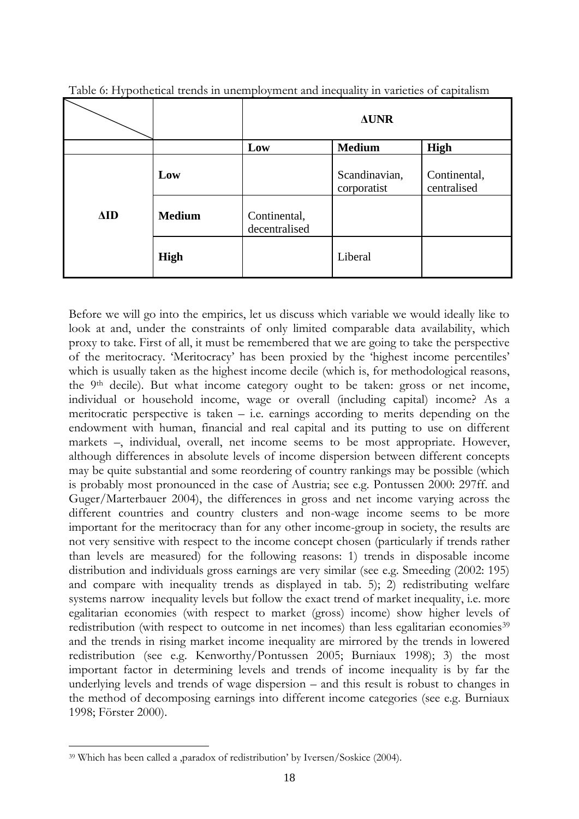| ╯           |               |                               | $\triangle$ UNR              |                             |
|-------------|---------------|-------------------------------|------------------------------|-----------------------------|
|             |               | Low                           | <b>Medium</b>                | <b>High</b>                 |
|             | Low           |                               | Scandinavian,<br>corporatist | Continental,<br>centralised |
| $\Delta$ ID | <b>Medium</b> | Continental,<br>decentralised |                              |                             |
|             | <b>High</b>   |                               | Liberal                      |                             |

Table 6: Hypothetical trends in unemployment and inequality in varieties of capitalism

Before we will go into the empirics, let us discuss which variable we would ideally like to look at and, under the constraints of only limited comparable data availability, which proxy to take. First of all, it must be remembered that we are going to take the perspective of the meritocracy. "Meritocracy" has been proxied by the "highest income percentiles" which is usually taken as the highest income decile (which is, for methodological reasons, the 9th decile). But what income category ought to be taken: gross or net income, individual or household income, wage or overall (including capital) income? As a meritocratic perspective is taken  $-$  i.e. earnings according to merits depending on the endowment with human, financial and real capital and its putting to use on different markets –, individual, overall, net income seems to be most appropriate. However, although differences in absolute levels of income dispersion between different concepts may be quite substantial and some reordering of country rankings may be possible (which is probably most pronounced in the case of Austria; see e.g. Pontussen 2000: 297ff. and Guger/Marterbauer 2004), the differences in gross and net income varying across the different countries and country clusters and non-wage income seems to be more important for the meritocracy than for any other income-group in society, the results are not very sensitive with respect to the income concept chosen (particularly if trends rather than levels are measured) for the following reasons: 1) trends in disposable income distribution and individuals gross earnings are very similar (see e.g. Smeeding (2002: 195) and compare with inequality trends as displayed in tab. 5); 2) redistributing welfare systems narrow inequality levels but follow the exact trend of market inequality, i.e. more egalitarian economies (with respect to market (gross) income) show higher levels of redistribution (with respect to outcome in net incomes) than less egalitarian economies<sup>39</sup> and the trends in rising market income inequality are mirrored by the trends in lowered redistribution (see e.g. Kenworthy/Pontussen 2005; Burniaux 1998); 3) the most important factor in determining levels and trends of income inequality is by far the underlying levels and trends of wage dispersion – and this result is robust to changes in the method of decomposing earnings into different income categories (see e.g. Burniaux 1998; Förster 2000).

<sup>&</sup>lt;sup>39</sup> Which has been called a ,paradox of redistribution' by Iversen/Soskice (2004).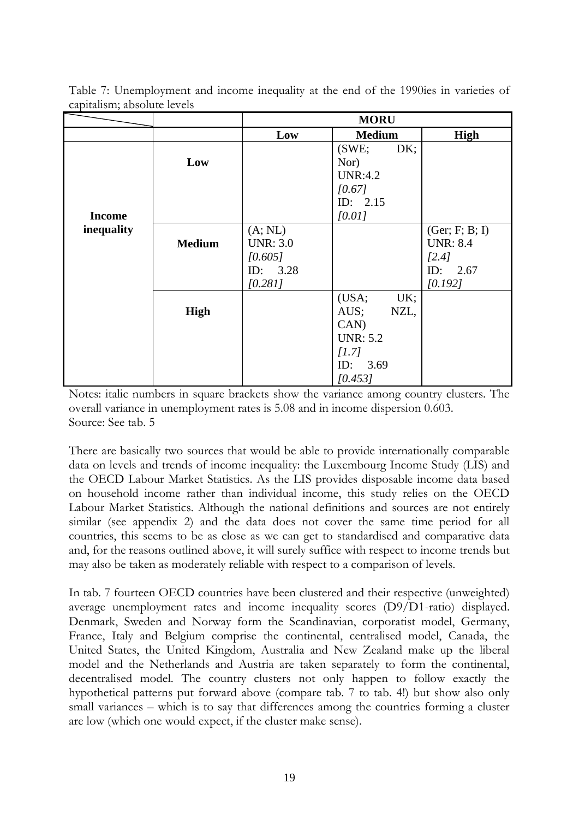|               |               |                  | <b>MORU</b>     |                 |
|---------------|---------------|------------------|-----------------|-----------------|
|               |               | Low              | <b>Medium</b>   | High            |
|               |               |                  | DK;<br>(SWE;    |                 |
|               | Low           |                  | Nor)            |                 |
|               |               |                  | <b>UNR:4.2</b>  |                 |
|               |               |                  | [0.67]          |                 |
|               |               |                  | ID: $2.15$      |                 |
| <b>Income</b> |               |                  | [0.01]          |                 |
| inequality    |               | (A; NL)          |                 | (Ger; F; B; I)  |
|               | <b>Medium</b> | <b>UNR</b> : 3.0 |                 | <b>UNR: 8.4</b> |
|               |               | [0.605]          |                 | [2.4]           |
|               |               | ID: 3.28         |                 | ID: 2.67        |
|               |               | [0.281]          |                 | [0.192]         |
|               |               |                  | (USA;<br>UK;    |                 |
|               | High          |                  | AUS;<br>NZL,    |                 |
|               |               |                  | CAN             |                 |
|               |               |                  | <b>UNR: 5.2</b> |                 |
|               |               |                  | [1.7]           |                 |
|               |               |                  | ID: 3.69        |                 |
|               |               |                  | [0.453]         |                 |

Table 7: Unemployment and income inequality at the end of the 1990ies in varieties of capitalism; absolute levels

Notes: italic numbers in square brackets show the variance among country clusters. The overall variance in unemployment rates is 5.08 and in income dispersion 0.603. Source: See tab. 5

There are basically two sources that would be able to provide internationally comparable data on levels and trends of income inequality: the Luxembourg Income Study (LIS) and the OECD Labour Market Statistics. As the LIS provides disposable income data based on household income rather than individual income, this study relies on the OECD Labour Market Statistics. Although the national definitions and sources are not entirely similar (see appendix 2) and the data does not cover the same time period for all countries, this seems to be as close as we can get to standardised and comparative data and, for the reasons outlined above, it will surely suffice with respect to income trends but may also be taken as moderately reliable with respect to a comparison of levels.

In tab. 7 fourteen OECD countries have been clustered and their respective (unweighted) average unemployment rates and income inequality scores (D9/D1-ratio) displayed. Denmark, Sweden and Norway form the Scandinavian, corporatist model, Germany, France, Italy and Belgium comprise the continental, centralised model, Canada, the United States, the United Kingdom, Australia and New Zealand make up the liberal model and the Netherlands and Austria are taken separately to form the continental, decentralised model. The country clusters not only happen to follow exactly the hypothetical patterns put forward above (compare tab. 7 to tab. 4!) but show also only small variances – which is to say that differences among the countries forming a cluster are low (which one would expect, if the cluster make sense).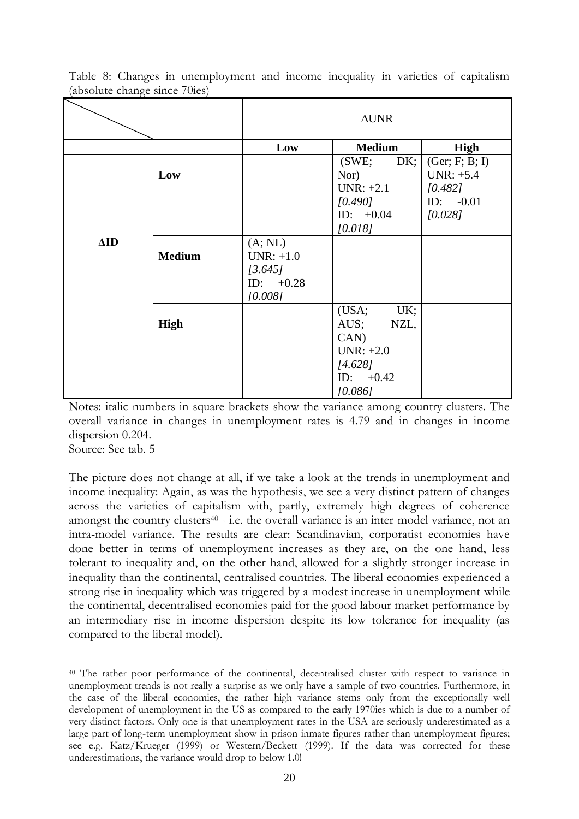|             |               | $\Delta \text{UNR}$                                         |                                                                                         |                                          |  |
|-------------|---------------|-------------------------------------------------------------|-----------------------------------------------------------------------------------------|------------------------------------------|--|
|             |               | Low                                                         | <b>Medium</b>                                                                           | High                                     |  |
|             | Low           |                                                             | DK;<br>(SWE;<br>Nor)<br>$UNR: +2.1$                                                     | (Ger; F; B; I)<br>$UNR: +5.4$<br>[0.482] |  |
|             |               |                                                             | [0.490]<br>ID: $+0.04$<br>[0.018]                                                       | ID: $-0.01$<br>[0.028]                   |  |
| $\Delta$ ID | <b>Medium</b> | (A; NL)<br>$UNR: +1.0$<br>[3.645]<br>ID: $+0.28$<br>[0.008] |                                                                                         |                                          |  |
|             | <b>High</b>   |                                                             | (USA;<br>UK;<br>AUS;<br>NZL,<br>CAN<br>$UNR: +2.0$<br>[4.628]<br>ID: $+0.42$<br>[0.086] |                                          |  |

Table 8: Changes in unemployment and income inequality in varieties of capitalism (absolute change since 70ies)

Notes: italic numbers in square brackets show the variance among country clusters. The overall variance in changes in unemployment rates is 4.79 and in changes in income dispersion 0.204.

Source: See tab. 5

<u>.</u>

The picture does not change at all, if we take a look at the trends in unemployment and income inequality: Again, as was the hypothesis, we see a very distinct pattern of changes across the varieties of capitalism with, partly, extremely high degrees of coherence amongst the country clusters<sup>40</sup> - i.e. the overall variance is an inter-model variance, not an intra-model variance. The results are clear: Scandinavian, corporatist economies have done better in terms of unemployment increases as they are, on the one hand, less tolerant to inequality and, on the other hand, allowed for a slightly stronger increase in inequality than the continental, centralised countries. The liberal economies experienced a strong rise in inequality which was triggered by a modest increase in unemployment while the continental, decentralised economies paid for the good labour market performance by an intermediary rise in income dispersion despite its low tolerance for inequality (as compared to the liberal model).

<sup>40</sup> The rather poor performance of the continental, decentralised cluster with respect to variance in unemployment trends is not really a surprise as we only have a sample of two countries. Furthermore, in the case of the liberal economies, the rather high variance stems only from the exceptionally well development of unemployment in the US as compared to the early 1970ies which is due to a number of very distinct factors. Only one is that unemployment rates in the USA are seriously underestimated as a large part of long-term unemployment show in prison inmate figures rather than unemployment figures; see e.g. Katz/Krueger (1999) or Western/Beckett (1999). If the data was corrected for these underestimations, the variance would drop to below 1.0!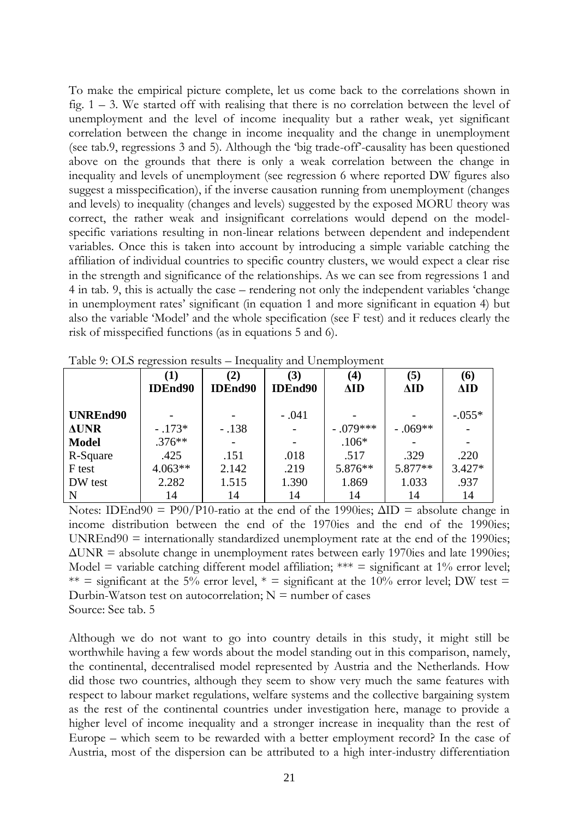To make the empirical picture complete, let us come back to the correlations shown in fig.  $1 - 3$ . We started off with realising that there is no correlation between the level of unemployment and the level of income inequality but a rather weak, yet significant correlation between the change in income inequality and the change in unemployment (see tab.9, regressions 3 and 5). Although the 'big trade-off'-causality has been questioned above on the grounds that there is only a weak correlation between the change in inequality and levels of unemployment (see regression 6 where reported DW figures also suggest a misspecification), if the inverse causation running from unemployment (changes and levels) to inequality (changes and levels) suggested by the exposed MORU theory was correct, the rather weak and insignificant correlations would depend on the modelspecific variations resulting in non-linear relations between dependent and independent variables. Once this is taken into account by introducing a simple variable catching the affiliation of individual countries to specific country clusters, we would expect a clear rise in the strength and significance of the relationships. As we can see from regressions 1 and 4 in tab. 9, this is actually the case – rendering not only the independent variables "change in unemployment rates' significant (in equation 1 and more significant in equation 4) but also the variable "Model" and the whole specification (see F test) and it reduces clearly the risk of misspecified functions (as in equations 5 and 6).

| --------     |                            |                                 |                       |                         |                    |                    |
|--------------|----------------------------|---------------------------------|-----------------------|-------------------------|--------------------|--------------------|
|              | $\bf(1)$<br><b>IDEnd90</b> | $\mathbf{2)}$<br><b>IDEnd90</b> | (3)<br><b>IDEnd90</b> | $\bf(4)$<br>$\Delta$ ID | (5)<br>$\Delta$ ID | (6)<br>$\Delta$ ID |
| UNREnd90     |                            |                                 | $-.041$               |                         |                    | $-.055*$           |
| <b>AUNR</b>  | $-.173*$                   | $-.138$                         |                       | $-.079***$              | $-.069**$          |                    |
| <b>Model</b> | $.376**$                   |                                 |                       | $.106*$                 |                    |                    |
| R-Square     | .425                       | .151                            | .018                  | .517                    | .329               | .220               |
| F test       | $4.063**$                  | 2.142                           | .219                  | 5.876**                 | 5.877**            | $3.427*$           |
| DW test      | 2.282                      | 1.515                           | 1.390                 | 1.869                   | 1.033              | .937               |
| N            | 14                         | 14                              | 14                    | 14                      | 14                 | 14                 |

Table 9: OLS regression results – Inequality and Unemployment

Notes: IDEnd90 = P90/P10-ratio at the end of the 1990ies;  $\Delta$ ID = absolute change in income distribution between the end of the 1970ies and the end of the 1990ies;  $UNREnd90 =$  internationally standardized unemployment rate at the end of the 1990ies;  $\Delta$ UNR = absolute change in unemployment rates between early 1970ies and late 1990ies; Model = variable catching different model affiliation; \*\*\* = significant at  $1\%$  error level; \*\* = significant at the 5% error level, \* = significant at the 10% error level; DW test = Durbin-Watson test on autocorrelation;  $N =$  number of cases Source: See tab. 5

Although we do not want to go into country details in this study, it might still be worthwhile having a few words about the model standing out in this comparison, namely, the continental, decentralised model represented by Austria and the Netherlands. How did those two countries, although they seem to show very much the same features with respect to labour market regulations, welfare systems and the collective bargaining system as the rest of the continental countries under investigation here, manage to provide a higher level of income inequality and a stronger increase in inequality than the rest of Europe – which seem to be rewarded with a better employment record? In the case of Austria, most of the dispersion can be attributed to a high inter-industry differentiation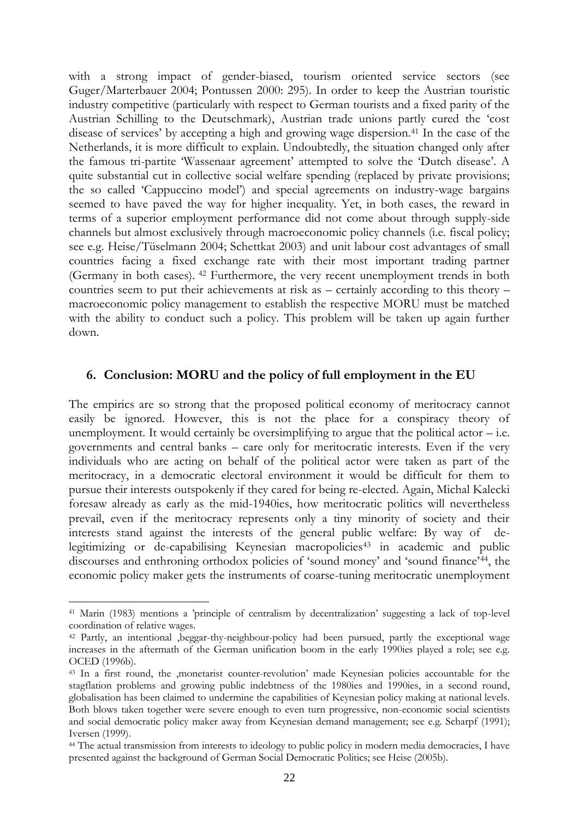with a strong impact of gender-biased, tourism oriented service sectors (see Guger/Marterbauer 2004; Pontussen 2000: 295). In order to keep the Austrian touristic industry competitive (particularly with respect to German tourists and a fixed parity of the Austrian Schilling to the Deutschmark), Austrian trade unions partly cured the "cost disease of services' by accepting a high and growing wage dispersion.<sup>41</sup> In the case of the Netherlands, it is more difficult to explain. Undoubtedly, the situation changed only after the famous tri-partite 'Wassenaar agreement' attempted to solve the 'Dutch disease'. A quite substantial cut in collective social welfare spending (replaced by private provisions; the so called "Cappuccino model") and special agreements on industry-wage bargains seemed to have paved the way for higher inequality. Yet, in both cases, the reward in terms of a superior employment performance did not come about through supply-side channels but almost exclusively through macroeconomic policy channels (i.e. fiscal policy; see e.g. Heise/Tüselmann 2004; Schettkat 2003) and unit labour cost advantages of small countries facing a fixed exchange rate with their most important trading partner (Germany in both cases). <sup>42</sup> Furthermore, the very recent unemployment trends in both countries seem to put their achievements at risk as – certainly according to this theory – macroeconomic policy management to establish the respective MORU must be matched with the ability to conduct such a policy. This problem will be taken up again further down.

### **6. Conclusion: MORU and the policy of full employment in the EU**

The empirics are so strong that the proposed political economy of meritocracy cannot easily be ignored. However, this is not the place for a conspiracy theory of unemployment. It would certainly be oversimplifying to argue that the political actor  $-$  i.e. governments and central banks – care only for meritocratic interests. Even if the very individuals who are acting on behalf of the political actor were taken as part of the meritocracy, in a democratic electoral environment it would be difficult for them to pursue their interests outspokenly if they cared for being re-elected. Again, Michal Kalecki foresaw already as early as the mid-1940ies, how meritocratic politics will nevertheless prevail, even if the meritocracy represents only a tiny minority of society and their interests stand against the interests of the general public welfare: By way of delegitimizing or de-capabilising Keynesian macropolicies<sup>43</sup> in academic and public discourses and enthroning orthodox policies of 'sound money' and 'sound finance'<sup>44</sup>, the economic policy maker gets the instruments of coarse-tuning meritocratic unemployment

<sup>41</sup> Marin (1983) mentions a "principle of centralism by decentralization" suggesting a lack of top-level coordination of relative wages.

<sup>&</sup>lt;sup>42</sup> Partly, an intentional , beggar-thy-neighbour-policy had been pursued, partly the exceptional wage increases in the aftermath of the German unification boom in the early 1990ies played a role; see e.g. OCED (1996b).

<sup>&</sup>lt;sup>43</sup> In a first round, the ,monetarist counter-revolution' made Keynesian policies accountable for the stagflation problems and growing public indebtness of the 1980ies and 1990ies, in a second round, globalisation has been claimed to undermine the capabilities of Keynesian policy making at national levels. Both blows taken together were severe enough to even turn progressive, non-economic social scientists and social democratic policy maker away from Keynesian demand management; see e.g. Scharpf (1991); Iversen (1999).

<sup>&</sup>lt;sup>44</sup> The actual transmission from interests to ideology to public policy in modern media democracies, I have presented against the background of German Social Democratic Politics; see Heise (2005b).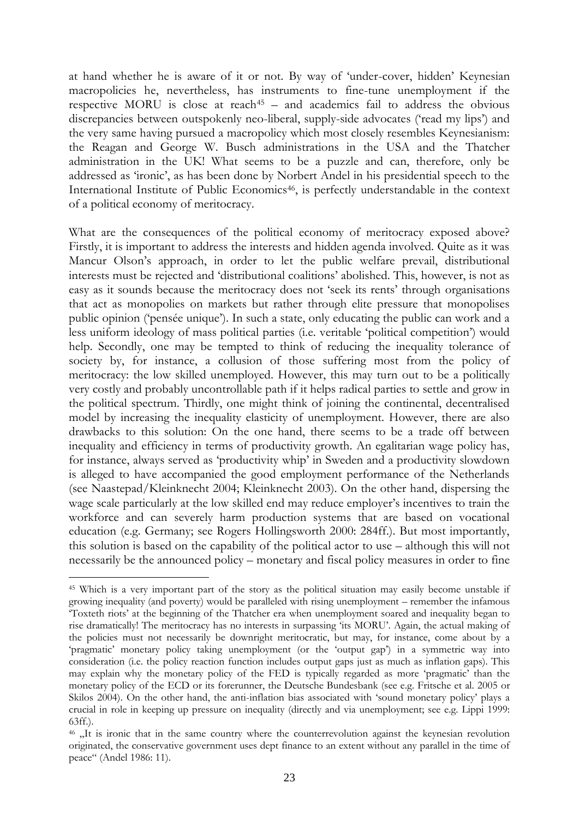at hand whether he is aware of it or not. By way of "under-cover, hidden" Keynesian macropolicies he, nevertheless, has instruments to fine-tune unemployment if the respective MORU is close at reach<sup>45</sup> – and academics fail to address the obvious discrepancies between outspokenly neo-liberal, supply-side advocates ('read my lips') and the very same having pursued a macropolicy which most closely resembles Keynesianism: the Reagan and George W. Busch administrations in the USA and the Thatcher administration in the UK! What seems to be a puzzle and can, therefore, only be addressed as "ironic", as has been done by Norbert Andel in his presidential speech to the International Institute of Public Economics<sup>46</sup>, is perfectly understandable in the context of a political economy of meritocracy.

What are the consequences of the political economy of meritocracy exposed above? Firstly, it is important to address the interests and hidden agenda involved. Quite as it was Mancur Olson"s approach, in order to let the public welfare prevail, distributional interests must be rejected and "distributional coalitions" abolished. This, however, is not as easy as it sounds because the meritocracy does not "seek its rents" through organisations that act as monopolies on markets but rather through elite pressure that monopolises public opinion ("pensée unique"). In such a state, only educating the public can work and a less uniform ideology of mass political parties (i.e. veritable "political competition") would help. Secondly, one may be tempted to think of reducing the inequality tolerance of society by, for instance, a collusion of those suffering most from the policy of meritocracy: the low skilled unemployed. However, this may turn out to be a politically very costly and probably uncontrollable path if it helps radical parties to settle and grow in the political spectrum. Thirdly, one might think of joining the continental, decentralised model by increasing the inequality elasticity of unemployment. However, there are also drawbacks to this solution: On the one hand, there seems to be a trade off between inequality and efficiency in terms of productivity growth. An egalitarian wage policy has, for instance, always served as "productivity whip" in Sweden and a productivity slowdown is alleged to have accompanied the good employment performance of the Netherlands (see Naastepad/Kleinknecht 2004; Kleinknecht 2003). On the other hand, dispersing the wage scale particularly at the low skilled end may reduce employer's incentives to train the workforce and can severely harm production systems that are based on vocational education (e.g. Germany; see Rogers Hollingsworth 2000: 284ff.). But most importantly, this solution is based on the capability of the political actor to use – although this will not necessarily be the announced policy – monetary and fiscal policy measures in order to fine

1

<sup>45</sup> Which is a very important part of the story as the political situation may easily become unstable if growing inequality (and poverty) would be paralleled with rising unemployment – remember the infamous "Toxteth riots" at the beginning of the Thatcher era when unemployment soared and inequality began to rise dramatically! The meritocracy has no interests in surpassing "its MORU". Again, the actual making of the policies must not necessarily be downright meritocratic, but may, for instance, come about by a 'pragmatic' monetary policy taking unemployment (or the 'output gap') in a symmetric way into consideration (i.e. the policy reaction function includes output gaps just as much as inflation gaps). This may explain why the monetary policy of the FED is typically regarded as more "pragmatic" than the monetary policy of the ECD or its forerunner, the Deutsche Bundesbank (see e.g. Fritsche et al. 2005 or Skilos 2004). On the other hand, the anti-inflation bias associated with "sound monetary policy" plays a crucial in role in keeping up pressure on inequality (directly and via unemployment; see e.g. Lippi 1999: 63ff.).

<sup>&</sup>lt;sup>46</sup>  $\mu$ It is ironic that in the same country where the counterrevolution against the keynesian revolution originated, the conservative government uses dept finance to an extent without any parallel in the time of peace" (Andel 1986: 11).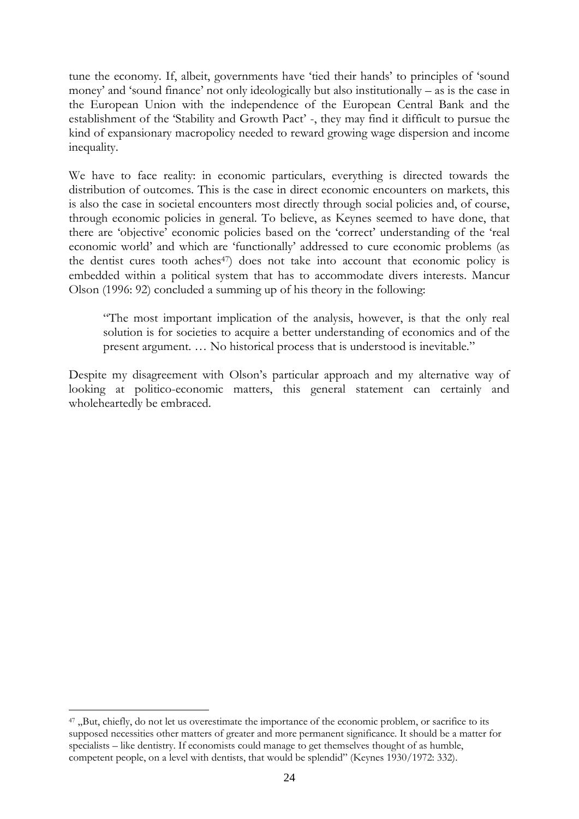tune the economy. If, albeit, governments have "tied their hands" to principles of "sound money" and "sound finance" not only ideologically but also institutionally – as is the case in the European Union with the independence of the European Central Bank and the establishment of the "Stability and Growth Pact" -, they may find it difficult to pursue the kind of expansionary macropolicy needed to reward growing wage dispersion and income inequality.

We have to face reality: in economic particulars, everything is directed towards the distribution of outcomes. This is the case in direct economic encounters on markets, this is also the case in societal encounters most directly through social policies and, of course, through economic policies in general. To believe, as Keynes seemed to have done, that there are "objective" economic policies based on the "correct" understanding of the "real economic world" and which are "functionally" addressed to cure economic problems (as the dentist cures tooth aches<sup>47</sup>) does not take into account that economic policy is embedded within a political system that has to accommodate divers interests. Mancur Olson (1996: 92) concluded a summing up of his theory in the following:

"The most important implication of the analysis, however, is that the only real solution is for societies to acquire a better understanding of economics and of the present argument. … No historical process that is understood is inevitable."

Despite my disagreement with Olson"s particular approach and my alternative way of looking at politico-economic matters, this general statement can certainly and wholeheartedly be embraced.

<sup>&</sup>lt;sup>47</sup> "But, chiefly, do not let us overestimate the importance of the economic problem, or sacrifice to its supposed necessities other matters of greater and more permanent significance. It should be a matter for specialists – like dentistry. If economists could manage to get themselves thought of as humble, competent people, on a level with dentists, that would be splendid" (Keynes 1930/1972: 332).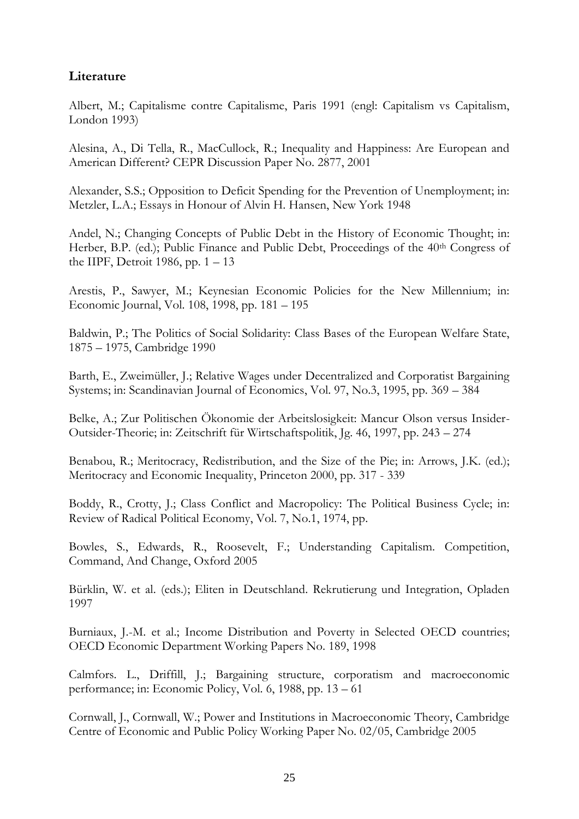## **Literature**

Albert, M.; Capitalisme contre Capitalisme, Paris 1991 (engl: Capitalism vs Capitalism, London 1993)

Alesina, A., Di Tella, R., MacCullock, R.; Inequality and Happiness: Are European and American Different? CEPR Discussion Paper No. 2877, 2001

Alexander, S.S.; Opposition to Deficit Spending for the Prevention of Unemployment; in: Metzler, L.A.; Essays in Honour of Alvin H. Hansen, New York 1948

Andel, N.; Changing Concepts of Public Debt in the History of Economic Thought; in: Herber, B.P. (ed.); Public Finance and Public Debt, Proceedings of the 40<sup>th</sup> Congress of the IIPF, Detroit 1986, pp.  $1 - 13$ 

Arestis, P., Sawyer, M.; Keynesian Economic Policies for the New Millennium; in: Economic Journal, Vol. 108, 1998, pp. 181 – 195

Baldwin, P.; The Politics of Social Solidarity: Class Bases of the European Welfare State, 1875 – 1975, Cambridge 1990

Barth, E., Zweimüller, J.; Relative Wages under Decentralized and Corporatist Bargaining Systems; in: Scandinavian Journal of Economics, Vol. 97, No.3, 1995, pp. 369 – 384

Belke, A.; Zur Politischen Ökonomie der Arbeitslosigkeit: Mancur Olson versus Insider-Outsider-Theorie; in: Zeitschrift für Wirtschaftspolitik, Jg. 46, 1997, pp. 243 – 274

Benabou, R.; Meritocracy, Redistribution, and the Size of the Pie; in: Arrows, J.K. (ed.); Meritocracy and Economic Inequality, Princeton 2000, pp. 317 - 339

Boddy, R., Crotty, J.; Class Conflict and Macropolicy: The Political Business Cycle; in: Review of Radical Political Economy, Vol. 7, No.1, 1974, pp.

Bowles, S., Edwards, R., Roosevelt, F.; Understanding Capitalism. Competition, Command, And Change, Oxford 2005

Bürklin, W. et al. (eds.); Eliten in Deutschland. Rekrutierung und Integration, Opladen 1997

Burniaux, J.-M. et al.; Income Distribution and Poverty in Selected OECD countries; OECD Economic Department Working Papers No. 189, 1998

Calmfors. L., Driffill, J.; Bargaining structure, corporatism and macroeconomic performance; in: Economic Policy, Vol. 6, 1988, pp. 13 – 61

Cornwall, J., Cornwall, W.; Power and Institutions in Macroeconomic Theory, Cambridge Centre of Economic and Public Policy Working Paper No. 02/05, Cambridge 2005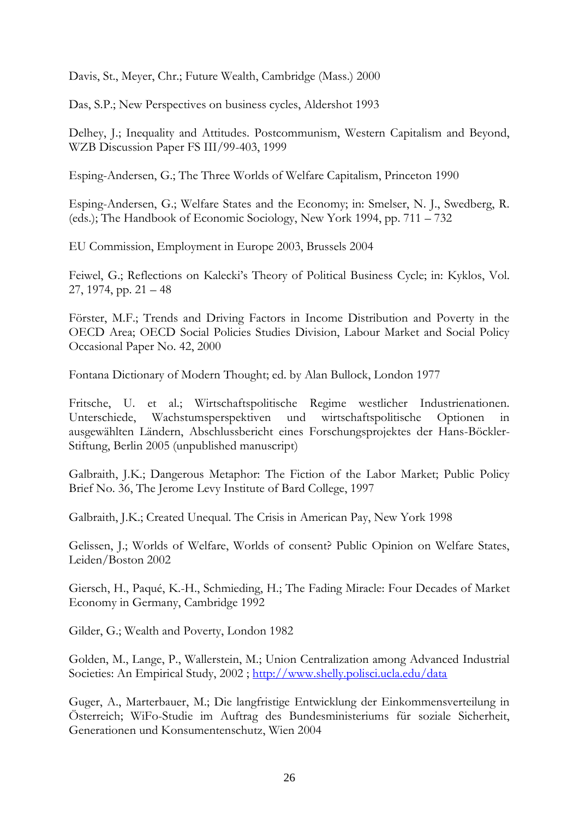Davis, St., Meyer, Chr.; Future Wealth, Cambridge (Mass.) 2000

Das, S.P.; New Perspectives on business cycles, Aldershot 1993

Delhey, J.; Inequality and Attitudes. Postcommunism, Western Capitalism and Beyond, WZB Discussion Paper FS III/99-403, 1999

Esping-Andersen, G.; The Three Worlds of Welfare Capitalism, Princeton 1990

Esping-Andersen, G.; Welfare States and the Economy; in: Smelser, N. J., Swedberg, R. (eds.); The Handbook of Economic Sociology, New York 1994, pp. 711 – 732

EU Commission, Employment in Europe 2003, Brussels 2004

Feiwel, G.; Reflections on Kalecki's Theory of Political Business Cycle; in: Kyklos, Vol. 27, 1974, pp.  $21 - 48$ 

Förster, M.F.; Trends and Driving Factors in Income Distribution and Poverty in the OECD Area; OECD Social Policies Studies Division, Labour Market and Social Policy Occasional Paper No. 42, 2000

Fontana Dictionary of Modern Thought; ed. by Alan Bullock, London 1977

Fritsche, U. et al.; Wirtschaftspolitische Regime westlicher Industrienationen. Unterschiede, Wachstumsperspektiven und wirtschaftspolitische Optionen in ausgewählten Ländern, Abschlussbericht eines Forschungsprojektes der Hans-Böckler-Stiftung, Berlin 2005 (unpublished manuscript)

Galbraith, J.K.; Dangerous Metaphor: The Fiction of the Labor Market; Public Policy Brief No. 36, The Jerome Levy Institute of Bard College, 1997

Galbraith, J.K.; Created Unequal. The Crisis in American Pay, New York 1998

Gelissen, J.; Worlds of Welfare, Worlds of consent? Public Opinion on Welfare States, Leiden/Boston 2002

Giersch, H., Paqué, K.-H., Schmieding, H.; The Fading Miracle: Four Decades of Market Economy in Germany, Cambridge 1992

Gilder, G.; Wealth and Poverty, London 1982

Golden, M., Lange, P., Wallerstein, M.; Union Centralization among Advanced Industrial Societies: An Empirical Study, 2002 ;<http://www.shelly.polisci.ucla.edu/data>

Guger, A., Marterbauer, M.; Die langfristige Entwicklung der Einkommensverteilung in Österreich; WiFo-Studie im Auftrag des Bundesministeriums für soziale Sicherheit, Generationen und Konsumentenschutz, Wien 2004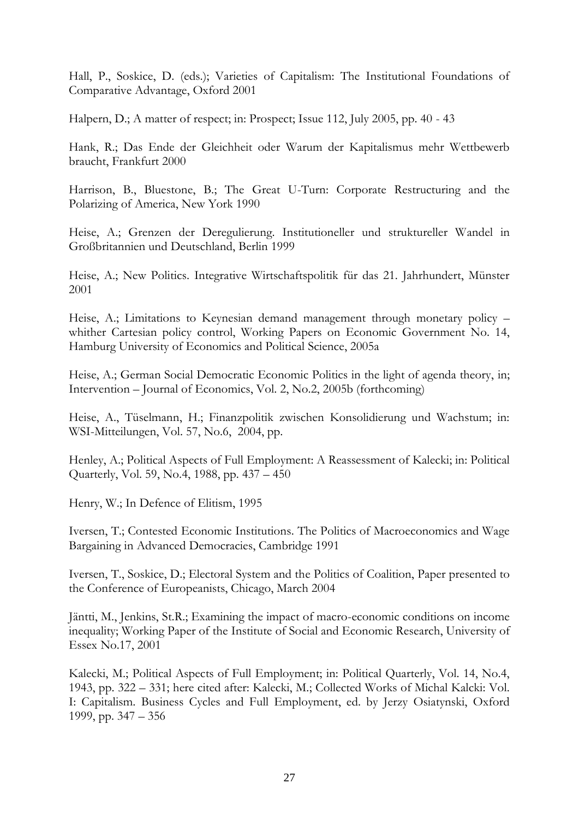Hall, P., Soskice, D. (eds.); Varieties of Capitalism: The Institutional Foundations of Comparative Advantage, Oxford 2001

Halpern, D.; A matter of respect; in: Prospect; Issue 112, July 2005, pp. 40 - 43

Hank, R.; Das Ende der Gleichheit oder Warum der Kapitalismus mehr Wettbewerb braucht, Frankfurt 2000

Harrison, B., Bluestone, B.; The Great U-Turn: Corporate Restructuring and the Polarizing of America, New York 1990

Heise, A.; Grenzen der Deregulierung. Institutioneller und struktureller Wandel in Großbritannien und Deutschland, Berlin 1999

Heise, A.; New Politics. Integrative Wirtschaftspolitik für das 21. Jahrhundert, Münster 2001

Heise, A.; Limitations to Keynesian demand management through monetary policy – whither Cartesian policy control, Working Papers on Economic Government No. 14, Hamburg University of Economics and Political Science, 2005a

Heise, A.; German Social Democratic Economic Politics in the light of agenda theory, in; Intervention – Journal of Economics, Vol. 2, No.2, 2005b (forthcoming)

Heise, A., Tüselmann, H.; Finanzpolitik zwischen Konsolidierung und Wachstum; in: WSI-Mitteilungen, Vol. 57, No.6, 2004, pp.

Henley, A.; Political Aspects of Full Employment: A Reassessment of Kalecki; in: Political Quarterly, Vol. 59, No.4, 1988, pp. 437 – 450

Henry, W.; In Defence of Elitism, 1995

Iversen, T.; Contested Economic Institutions. The Politics of Macroeconomics and Wage Bargaining in Advanced Democracies, Cambridge 1991

Iversen, T., Soskice, D.; Electoral System and the Politics of Coalition, Paper presented to the Conference of Europeanists, Chicago, March 2004

Jäntti, M., Jenkins, St.R.; Examining the impact of macro-economic conditions on income inequality; Working Paper of the Institute of Social and Economic Research, University of Essex No.17, 2001

Kalecki, M.; Political Aspects of Full Employment; in: Political Quarterly, Vol. 14, No.4, 1943, pp. 322 – 331; here cited after: Kalecki, M.; Collected Works of Michal Kalcki: Vol. I: Capitalism. Business Cycles and Full Employment, ed. by Jerzy Osiatynski, Oxford 1999, pp. 347 – 356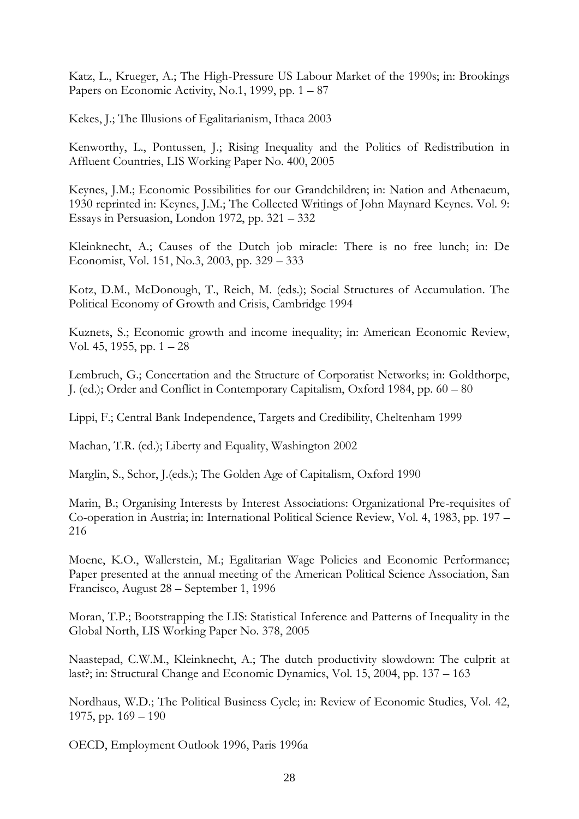Katz, L., Krueger, A.; The High-Pressure US Labour Market of the 1990s; in: Brookings Papers on Economic Activity, No.1, 1999, pp.  $1 - 87$ 

Kekes, J.; The Illusions of Egalitarianism, Ithaca 2003

Kenworthy, L., Pontussen, J.; Rising Inequality and the Politics of Redistribution in Affluent Countries, LIS Working Paper No. 400, 2005

Keynes, J.M.; Economic Possibilities for our Grandchildren; in: Nation and Athenaeum, 1930 reprinted in: Keynes, J.M.; The Collected Writings of John Maynard Keynes. Vol. 9: Essays in Persuasion, London 1972, pp. 321 – 332

Kleinknecht, A.; Causes of the Dutch job miracle: There is no free lunch; in: De Economist, Vol. 151, No.3, 2003, pp. 329 – 333

Kotz, D.M., McDonough, T., Reich, M. (eds.); Social Structures of Accumulation. The Political Economy of Growth and Crisis, Cambridge 1994

Kuznets, S.; Economic growth and income inequality; in: American Economic Review, Vol. 45, 1955, pp.  $1 - 28$ 

Lembruch, G.; Concertation and the Structure of Corporatist Networks; in: Goldthorpe, J. (ed.); Order and Conflict in Contemporary Capitalism, Oxford 1984, pp. 60 – 80

Lippi, F.; Central Bank Independence, Targets and Credibility, Cheltenham 1999

Machan, T.R. (ed.); Liberty and Equality, Washington 2002

Marglin, S., Schor, J.(eds.); The Golden Age of Capitalism, Oxford 1990

Marin, B.; Organising Interests by Interest Associations: Organizational Pre-requisites of Co-operation in Austria; in: International Political Science Review, Vol. 4, 1983, pp. 197 – 216

Moene, K.O., Wallerstein, M.; Egalitarian Wage Policies and Economic Performance; Paper presented at the annual meeting of the American Political Science Association, San Francisco, August 28 – September 1, 1996

Moran, T.P.; Bootstrapping the LIS: Statistical Inference and Patterns of Inequality in the Global North, LIS Working Paper No. 378, 2005

Naastepad, C.W.M., Kleinknecht, A.; The dutch productivity slowdown: The culprit at last?; in: Structural Change and Economic Dynamics, Vol. 15, 2004, pp. 137 – 163

Nordhaus, W.D.; The Political Business Cycle; in: Review of Economic Studies, Vol. 42, 1975, pp.  $169 - 190$ 

OECD, Employment Outlook 1996, Paris 1996a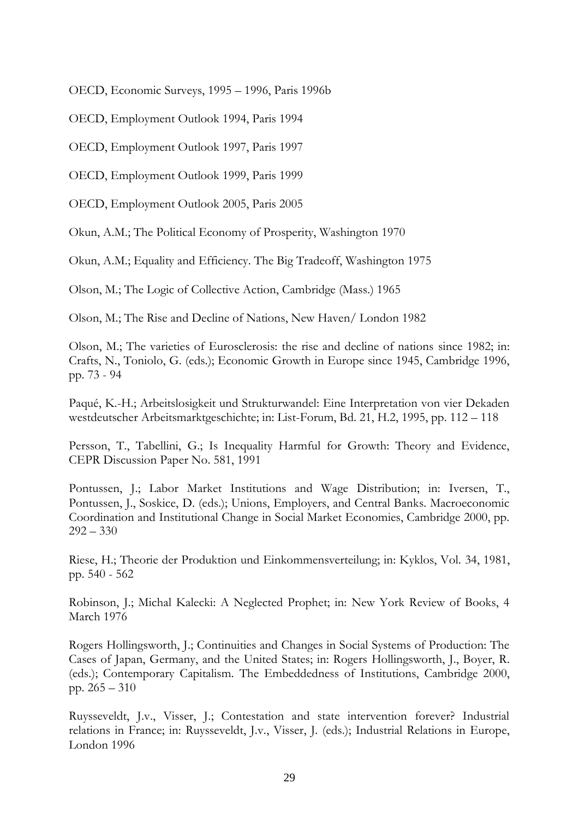OECD, Economic Surveys, 1995 – 1996, Paris 1996b

OECD, Employment Outlook 1994, Paris 1994

OECD, Employment Outlook 1997, Paris 1997

OECD, Employment Outlook 1999, Paris 1999

OECD, Employment Outlook 2005, Paris 2005

Okun, A.M.; The Political Economy of Prosperity, Washington 1970

Okun, A.M.; Equality and Efficiency. The Big Tradeoff, Washington 1975

Olson, M.; The Logic of Collective Action, Cambridge (Mass.) 1965

Olson, M.; The Rise and Decline of Nations, New Haven/ London 1982

Olson, M.; The varieties of Eurosclerosis: the rise and decline of nations since 1982; in: Crafts, N., Toniolo, G. (eds.); Economic Growth in Europe since 1945, Cambridge 1996, pp. 73 - 94

Paqué, K.-H.; Arbeitslosigkeit und Strukturwandel: Eine Interpretation von vier Dekaden westdeutscher Arbeitsmarktgeschichte; in: List-Forum, Bd. 21, H.2, 1995, pp. 112 – 118

Persson, T., Tabellini, G.; Is Inequality Harmful for Growth: Theory and Evidence, CEPR Discussion Paper No. 581, 1991

Pontussen, J.; Labor Market Institutions and Wage Distribution; in: Iversen, T., Pontussen, J., Soskice, D. (eds.); Unions, Employers, and Central Banks. Macroeconomic Coordination and Institutional Change in Social Market Economies, Cambridge 2000, pp.  $292 - 330$ 

Riese, H.; Theorie der Produktion und Einkommensverteilung; in: Kyklos, Vol. 34, 1981, pp. 540 - 562

Robinson, J.; Michal Kalecki: A Neglected Prophet; in: New York Review of Books, 4 March 1976

Rogers Hollingsworth, J.; Continuities and Changes in Social Systems of Production: The Cases of Japan, Germany, and the United States; in: Rogers Hollingsworth, J., Boyer, R. (eds.); Contemporary Capitalism. The Embeddedness of Institutions, Cambridge 2000, pp. 265 – 310

Ruysseveldt, J.v., Visser, J.; Contestation and state intervention forever? Industrial relations in France; in: Ruysseveldt, J.v., Visser, J. (eds.); Industrial Relations in Europe, London 1996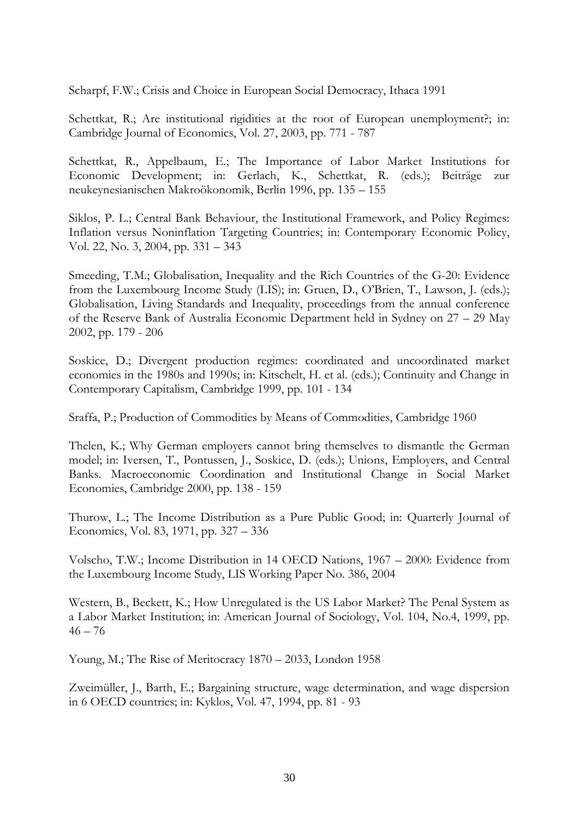Scharpf, F.W.; Crisis and Choice in European Social Democracy, Ithaca 1991

Schettkat, R.; Are institutional rigidities at the root of European unemployment?; in: Cambridge Journal of Economics, Vol. 27, 2003, pp. 771 - 787

Schettkat, R., Appelbaum, E.; The Importance of Labor Market Institutions for Economic Development; in: Gerlach, K., Schettkat, R. (eds.); Beiträge zur neukeynesianischen Makroökonomik, Berlin 1996, pp. 135 – 155

Siklos, P. L.; Central Bank Behaviour, the Institutional Framework, and Policy Regimes: Inflation versus Noninflation Targeting Countries; in: Contemporary Economic Policy, Vol. 22, No. 3, 2004, pp. 331 – 343

Smeeding, T.M.; Globalisation, Inequality and the Rich Countries of the G-20: Evidence from the Luxembourg Income Study (LIS); in: Gruen, D., O"Brien, T., Lawson, J. (eds.); Globalisation, Living Standards and Inequality, proceedings from the annual conference of the Reserve Bank of Australia Economic Department held in Sydney on 27 – 29 May 2002, pp. 179 - 206

Soskice, D.; Divergent production regimes: coordinated and uncoordinated market economies in the 1980s and 1990s; in: Kitschelt, H. et al. (eds.); Continuity and Change in Contemporary Capitalism, Cambridge 1999, pp. 101 - 134

Sraffa, P.; Production of Commodities by Means of Commodities, Cambridge 1960

Thelen, K.; Why German employers cannot bring themselves to dismantle the German model; in: Iversen, T., Pontussen, J., Soskice, D. (eds.); Unions, Employers, and Central Banks. Macroeconomic Coordination and Institutional Change in Social Market Economies, Cambridge 2000, pp. 138 - 159

Thurow, L.; The Income Distribution as a Pure Public Good; in: Quarterly Journal of Economics, Vol. 83, 1971, pp. 327 – 336

Volscho, T.W.; Income Distribution in 14 OECD Nations, 1967 – 2000: Evidence from the Luxembourg Income Study, LIS Working Paper No. 386, 2004

Western, B., Beckett, K.; How Unregulated is the US Labor Market? The Penal System as a Labor Market Institution; in: American Journal of Sociology, Vol. 104, No.4, 1999, pp.  $46 - 76$ 

Young, M.; The Rise of Meritocracy 1870 – 2033, London 1958

Zweimüller, J., Barth, E.; Bargaining structure, wage determination, and wage dispersion in 6 OECD countries; in: Kyklos, Vol. 47, 1994, pp. 81 - 93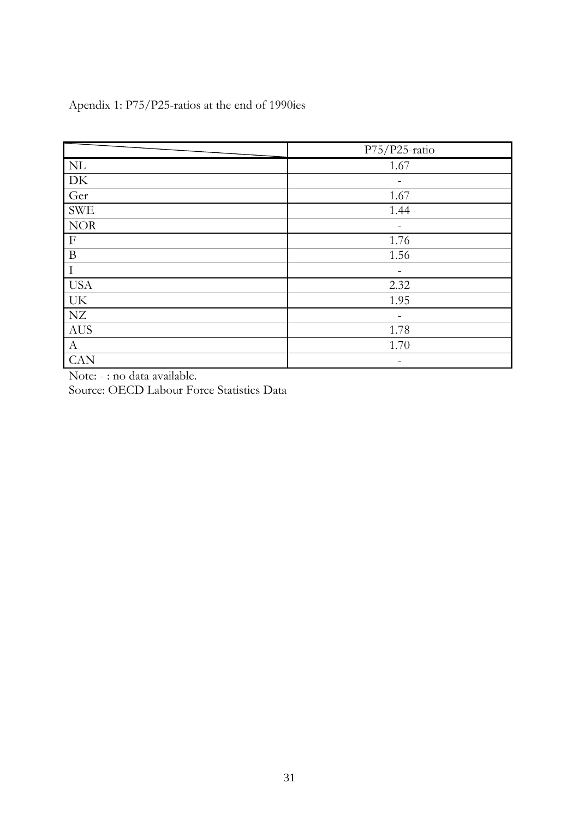|                                 | P75/P25-ratio |
|---------------------------------|---------------|
| $\ensuremath{\text{NL}}\xspace$ | 1.67          |
| ${\rm DK}$                      |               |
| Ger                             | 1.67          |
| <b>SWE</b>                      | 1.44          |
| $\rm{NOR}$                      |               |
| $\mathbf{F}$                    | 1.76          |
| $\, {\bf B}$                    | 1.56          |
| $\rm I$                         |               |
| <b>USA</b>                      | 2.32          |
| UK                              | 1.95          |
| NZ                              |               |
| AUS                             | 1.78          |
| $\mathbf{A}$                    | 1.70          |
| <b>CAN</b>                      | -             |

Apendix 1: P75/P25-ratios at the end of 1990ies

Note: - : no data available.

Source: OECD Labour Force Statistics Data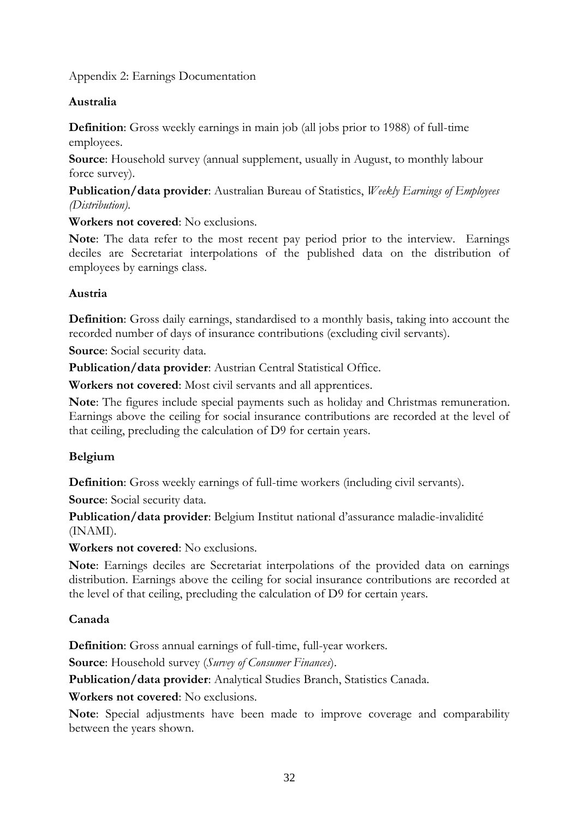### Appendix 2: Earnings Documentation

### **Australia**

**Definition**: Gross weekly earnings in main job (all jobs prior to 1988) of full-time employees.

**Source**: Household survey (annual supplement, usually in August, to monthly labour force survey).

**Publication/data provider**: Australian Bureau of Statistics, *Weekly Earnings of Employees (Distribution)*.

**Workers not covered**: No exclusions.

**Note**: The data refer to the most recent pay period prior to the interview. Earnings deciles are Secretariat interpolations of the published data on the distribution of employees by earnings class.

### **Austria**

**Definition**: Gross daily earnings, standardised to a monthly basis, taking into account the recorded number of days of insurance contributions (excluding civil servants).

**Source**: Social security data.

**Publication/data provider**: Austrian Central Statistical Office.

**Workers not covered**: Most civil servants and all apprentices.

**Note**: The figures include special payments such as holiday and Christmas remuneration. Earnings above the ceiling for social insurance contributions are recorded at the level of that ceiling, precluding the calculation of D9 for certain years.

### **Belgium**

**Definition**: Gross weekly earnings of full-time workers (including civil servants).

**Source**: Social security data.

**Publication/data provider**: Belgium Institut national d"assurance maladie-invalidité (INAMI).

**Workers not covered**: No exclusions.

**Note**: Earnings deciles are Secretariat interpolations of the provided data on earnings distribution. Earnings above the ceiling for social insurance contributions are recorded at the level of that ceiling, precluding the calculation of D9 for certain years.

### **Canada**

**Definition**: Gross annual earnings of full-time, full-year workers.

**Source**: Household survey (*Survey of Consumer Finances*).

**Publication/data provider**: Analytical Studies Branch, Statistics Canada.

**Workers not covered**: No exclusions.

**Note**: Special adjustments have been made to improve coverage and comparability between the years shown.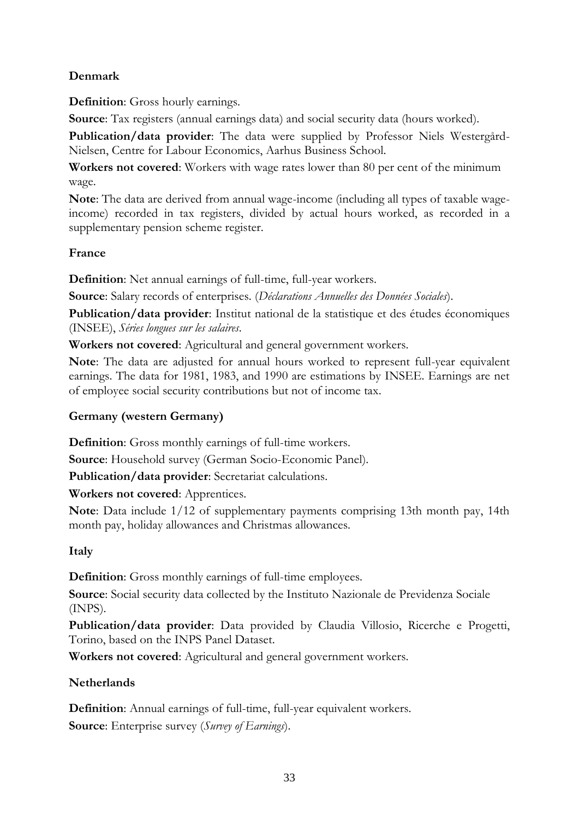## **Denmark**

**Definition**: Gross hourly earnings.

**Source**: Tax registers (annual earnings data) and social security data (hours worked).

**Publication/data provider**: The data were supplied by Professor Niels Westergård-Nielsen, Centre for Labour Economics, Aarhus Business School.

**Workers not covered**: Workers with wage rates lower than 80 per cent of the minimum wage.

**Note**: The data are derived from annual wage-income (including all types of taxable wageincome) recorded in tax registers, divided by actual hours worked, as recorded in a supplementary pension scheme register.

## **France**

**Definition**: Net annual earnings of full-time, full-year workers.

**Source**: Salary records of enterprises. (*Déclarations Annuelles des Données Sociales*).

**Publication/data provider**: Institut national de la statistique et des études économiques (INSEE), *Séries longues sur les salaires*.

**Workers not covered**: Agricultural and general government workers.

**Note**: The data are adjusted for annual hours worked to represent full-year equivalent earnings. The data for 1981, 1983, and 1990 are estimations by INSEE. Earnings are net of employee social security contributions but not of income tax.

# **Germany (western Germany)**

**Definition**: Gross monthly earnings of full-time workers.

**Source**: Household survey (German Socio-Economic Panel).

**Publication/data provider**: Secretariat calculations.

**Workers not covered**: Apprentices.

**Note**: Data include 1/12 of supplementary payments comprising 13th month pay, 14th month pay, holiday allowances and Christmas allowances.

# **Italy**

**Definition**: Gross monthly earnings of full-time employees.

**Source**: Social security data collected by the Instituto Nazionale de Previdenza Sociale (INPS).

**Publication/data provider**: Data provided by Claudia Villosio, Ricerche e Progetti, Torino, based on the INPS Panel Dataset.

**Workers not covered**: Agricultural and general government workers.

## **Netherlands**

**Definition**: Annual earnings of full-time, full-year equivalent workers. **Source**: Enterprise survey (*Survey of Earnings*).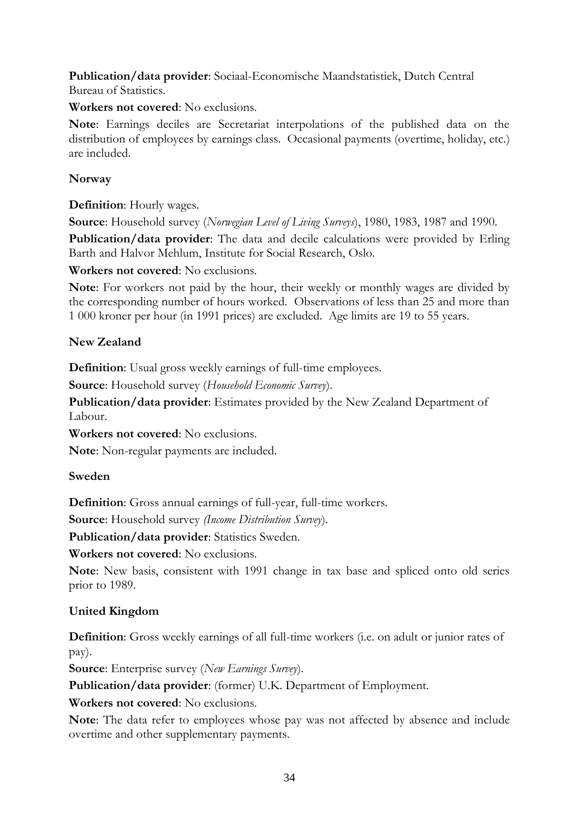**Publication/data provider**: Sociaal-Economische Maandstatistiek, Dutch Central Bureau of Statistics.

### **Workers not covered**: No exclusions.

**Note**: Earnings deciles are Secretariat interpolations of the published data on the distribution of employees by earnings class. Occasional payments (overtime, holiday, etc.) are included.

### **Norway**

### **Definition**: Hourly wages.

**Source**: Household survey (*Norwegian Level of Living Surveys*), 1980, 1983, 1987 and 1990.

**Publication/data provider**: The data and decile calculations were provided by Erling Barth and Halvor Mehlum, Institute for Social Research, Oslo.

### **Workers not covered**: No exclusions.

**Note**: For workers not paid by the hour, their weekly or monthly wages are divided by the corresponding number of hours worked. Observations of less than 25 and more than 1 000 kroner per hour (in 1991 prices) are excluded. Age limits are 19 to 55 years.

### **New Zealand**

**Definition**: Usual gross weekly earnings of full-time employees.

**Source**: Household survey (*Household Economic Survey*).

**Publication/data provider**: Estimates provided by the New Zealand Department of Labour.

**Workers not covered**: No exclusions.

**Note**: Non-regular payments are included.

### **Sweden**

**Definition**: Gross annual earnings of full-year, full-time workers.

**Source**: Household survey *(Income Distribution Survey*).

**Publication/data provider**: Statistics Sweden.

**Workers not covered**: No exclusions.

**Note**: New basis, consistent with 1991 change in tax base and spliced onto old series prior to 1989.

### **United Kingdom**

**Definition**: Gross weekly earnings of all full-time workers (i.e. on adult or junior rates of pay).

**Source**: Enterprise survey (*New Earnings Survey*).

**Publication/data provider**: (former) U.K. Department of Employment.

**Workers not covered**: No exclusions.

**Note**: The data refer to employees whose pay was not affected by absence and include overtime and other supplementary payments.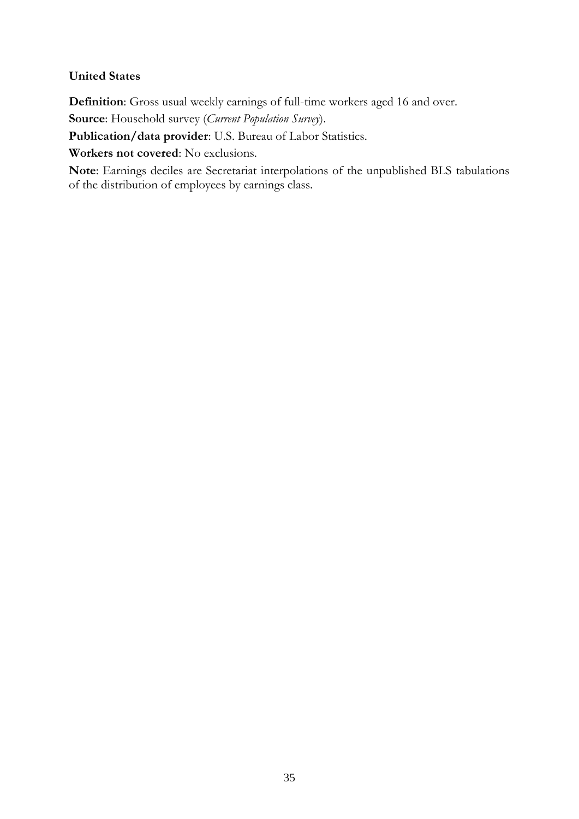### **United States**

**Definition**: Gross usual weekly earnings of full-time workers aged 16 and over.

**Source**: Household survey (*Current Population Survey*).

**Publication/data provider**: U.S. Bureau of Labor Statistics.

**Workers not covered**: No exclusions.

**Note**: Earnings deciles are Secretariat interpolations of the unpublished BLS tabulations of the distribution of employees by earnings class.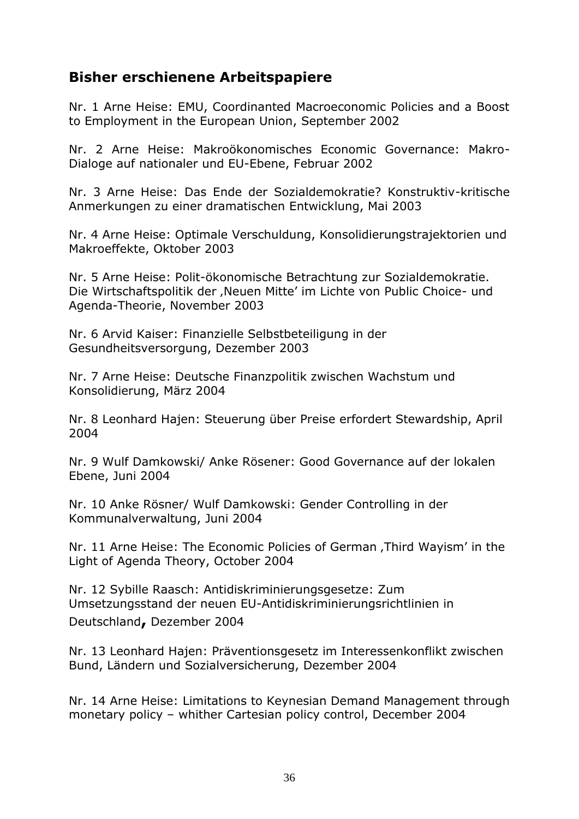# **Bisher erschienene Arbeitspapiere**

Nr. 1 Arne Heise: EMU, Coordinanted Macroeconomic Policies and a Boost to Employment in the European Union, September 2002

Nr. 2 Arne Heise: Makroökonomisches Economic Governance: Makro-Dialoge auf nationaler und EU-Ebene, Februar 2002

Nr. 3 Arne Heise: Das Ende der Sozialdemokratie? Konstruktiv-kritische Anmerkungen zu einer dramatischen Entwicklung, Mai 2003

Nr. 4 Arne Heise: Optimale Verschuldung, Konsolidierungstrajektorien und Makroeffekte, Oktober 2003

Nr. 5 Arne Heise: Polit-ökonomische Betrachtung zur Sozialdemokratie. Die Wirtschaftspolitik der "Neuen Mitte' im Lichte von Public Choice- und Agenda-Theorie, November 2003

Nr. 6 Arvid Kaiser: Finanzielle Selbstbeteiligung in der Gesundheitsversorgung, Dezember 2003

Nr. 7 Arne Heise: Deutsche Finanzpolitik zwischen Wachstum und Konsolidierung, März 2004

Nr. 8 Leonhard Hajen: Steuerung über Preise erfordert Stewardship, April 2004

Nr. 9 Wulf Damkowski/ Anke Rösener: Good Governance auf der lokalen Ebene, Juni 2004

Nr. 10 Anke Rösner/ Wulf Damkowski: Gender Controlling in der Kommunalverwaltung, Juni 2004

Nr. 11 Arne Heise: The Economic Policies of German, Third Wayism' in the Light of Agenda Theory, October 2004

Nr. 12 Sybille Raasch: Antidiskriminierungsgesetze: Zum Umsetzungsstand der neuen EU-Antidiskriminierungsrichtlinien in Deutschland**,** Dezember 2004

Nr. 13 Leonhard Hajen: Präventionsgesetz im Interessenkonflikt zwischen Bund, Ländern und Sozialversicherung, Dezember 2004

Nr. 14 Arne Heise: Limitations to Keynesian Demand Management through monetary policy – whither Cartesian policy control, December 2004